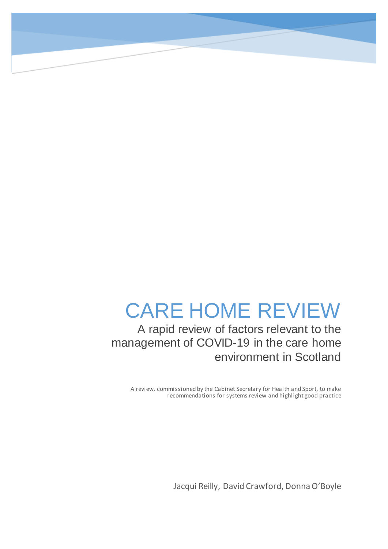# CARE HOME REVIEW

A rapid review of factors relevant to the management of COVID-19 in the care home environment in Scotland

A review, commissioned by the Cabinet Secretary for Health and Sport, to make recommendations for systems review and highlight good practice

Jacqui Reilly, David Crawford, Donna O'Boyle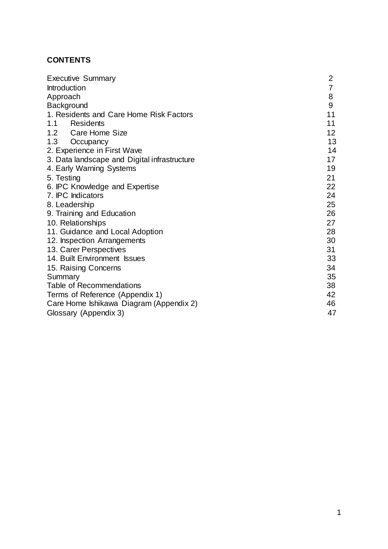# **CONTENTS**

| <b>Executive Summary</b>                     | $\overline{2}$  |
|----------------------------------------------|-----------------|
| Introduction                                 | 7               |
| Approach                                     | 8               |
| Background                                   | 9               |
| 1. Residents and Care Home Risk Factors      | 11              |
| Residents<br>1.1                             | 11              |
| 1.2 Care Home Size                           | 12 <sup>2</sup> |
| 1.3<br>Occupancy                             | 13              |
| 2. Experience in First Wave                  | 14              |
| 3. Data landscape and Digital infrastructure | 17              |
| 4. Early Warning Systems                     | 19              |
| 5. Testing                                   | 21              |
| 6. IPC Knowledge and Expertise               | 22              |
| 7. IPC Indicators                            | 24              |
| 8. Leadership                                | 25              |
| 9. Training and Education                    | 26              |
| 10. Relationships                            | 27              |
| 11. Guidance and Local Adoption              | 28              |
| 12. Inspection Arrangements                  | 30              |
| 13. Carer Perspectives                       | 31              |
| 14. Built Environment Issues                 | 33              |
| 15. Raising Concerns                         | 34              |
| Summary                                      | 35              |
| <b>Table of Recommendations</b>              | 38              |
| Terms of Reference (Appendix 1)              | 42              |
| Care Home Ishikawa Diagram (Appendix 2)      | 46              |
| Glossary (Appendix 3)                        | 47              |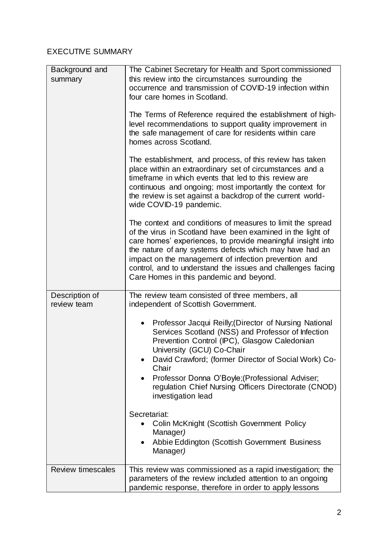# EXECUTIVE SUMMARY

| Background and<br>summary     | The Cabinet Secretary for Health and Sport commissioned<br>this review into the circumstances surrounding the<br>occurrence and transmission of COVID-19 infection within<br>four care homes in Scotland.                                                                                                                                                                                                             |
|-------------------------------|-----------------------------------------------------------------------------------------------------------------------------------------------------------------------------------------------------------------------------------------------------------------------------------------------------------------------------------------------------------------------------------------------------------------------|
|                               | The Terms of Reference required the establishment of high-<br>level recommendations to support quality improvement in<br>the safe management of care for residents within care<br>homes across Scotland.                                                                                                                                                                                                              |
|                               | The establishment, and process, of this review has taken<br>place within an extraordinary set of circumstances and a<br>timeframe in which events that led to this review are<br>continuous and ongoing; most importantly the context for<br>the review is set against a backdrop of the current world-<br>wide COVID-19 pandemic.                                                                                    |
|                               | The context and conditions of measures to limit the spread<br>of the virus in Scotland have been examined in the light of<br>care homes' experiences, to provide meaningful insight into<br>the nature of any systems defects which may have had an<br>impact on the management of infection prevention and<br>control, and to understand the issues and challenges facing<br>Care Homes in this pandemic and beyond. |
| Description of<br>review team | The review team consisted of three members, all<br>independent of Scottish Government.                                                                                                                                                                                                                                                                                                                                |
|                               | Professor Jacqui Reilly; (Director of Nursing National<br>$\bullet$<br>Services Scotland (NSS) and Professor of Infection<br>Prevention Control (IPC), Glasgow Caledonian<br>University (GCU) Co-Chair<br>David Crawford; (former Director of Social Work) Co-<br>Chair<br>Professor Donna O'Boyle; (Professional Adviser;<br>$\bullet$<br>regulation Chief Nursing Officers Directorate (CNOD)<br>investigation lead |
|                               | Secretariat:<br><b>Colin McKnight (Scottish Government Policy</b><br>Manager)<br>Abbie Eddington (Scottish Government Business<br>٠<br>Manager)                                                                                                                                                                                                                                                                       |
| <b>Review timescales</b>      | This review was commissioned as a rapid investigation; the<br>parameters of the review included attention to an ongoing<br>pandemic response, therefore in order to apply lessons                                                                                                                                                                                                                                     |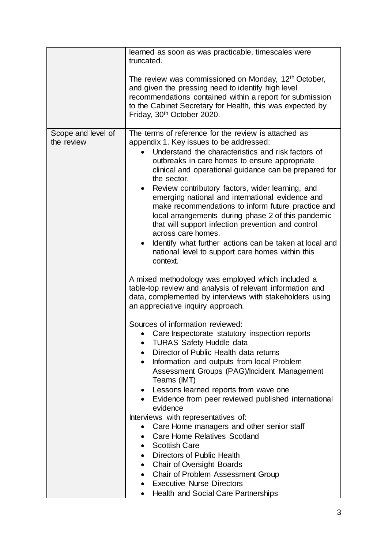|                                  | learned as soon as was practicable, timescales were<br>truncated.                                                                                                                                                                                                                                                                                                                                                                                                                                                                                                                                                                                                                                                                   |
|----------------------------------|-------------------------------------------------------------------------------------------------------------------------------------------------------------------------------------------------------------------------------------------------------------------------------------------------------------------------------------------------------------------------------------------------------------------------------------------------------------------------------------------------------------------------------------------------------------------------------------------------------------------------------------------------------------------------------------------------------------------------------------|
|                                  | The review was commissioned on Monday, 12 <sup>th</sup> October,<br>and given the pressing need to identify high level<br>recommendations contained within a report for submission<br>to the Cabinet Secretary for Health, this was expected by<br>Friday, 30 <sup>th</sup> October 2020.                                                                                                                                                                                                                                                                                                                                                                                                                                           |
| Scope and level of<br>the review | The terms of reference for the review is attached as<br>appendix 1. Key issues to be addressed:<br>Understand the characteristics and risk factors of<br>outbreaks in care homes to ensure appropriate<br>clinical and operational guidance can be prepared for<br>the sector.<br>Review contributory factors, wider learning, and<br>$\bullet$<br>emerging national and international evidence and<br>make recommendations to inform future practice and<br>local arrangements during phase 2 of this pandemic<br>that will support infection prevention and control<br>across care homes.<br>Identify what further actions can be taken at local and<br>$\bullet$<br>national level to support care homes within this<br>context. |
|                                  | A mixed methodology was employed which included a<br>table-top review and analysis of relevant information and<br>data, complemented by interviews with stakeholders using<br>an appreciative inquiry approach.                                                                                                                                                                                                                                                                                                                                                                                                                                                                                                                     |
|                                  | Sources of information reviewed:<br>• Care Inspectorate statutory inspection reports<br><b>TURAS Safety Huddle data</b><br>Director of Public Health data returns<br>Information and outputs from local Problem<br>$\bullet$<br>Assessment Groups (PAG)/Incident Management<br>Teams (IMT)<br>Lessons learned reports from wave one                                                                                                                                                                                                                                                                                                                                                                                                 |
|                                  | Evidence from peer reviewed published international<br>evidence<br>Interviews with representatives of:                                                                                                                                                                                                                                                                                                                                                                                                                                                                                                                                                                                                                              |
|                                  | Care Home managers and other senior staff<br><b>Care Home Relatives Scotland</b><br><b>Scottish Care</b>                                                                                                                                                                                                                                                                                                                                                                                                                                                                                                                                                                                                                            |
|                                  | Directors of Public Health<br>$\bullet$<br>Chair of Oversight Boards<br>$\bullet$<br><b>Chair of Problem Assessment Group</b><br><b>Executive Nurse Directors</b>                                                                                                                                                                                                                                                                                                                                                                                                                                                                                                                                                                   |
|                                  | Health and Social Care Partnerships<br>$\bullet$                                                                                                                                                                                                                                                                                                                                                                                                                                                                                                                                                                                                                                                                                    |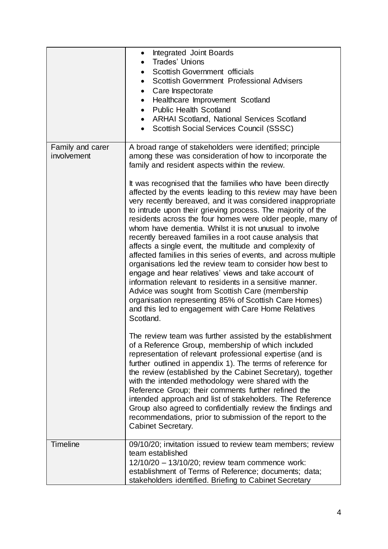|                                 | Integrated Joint Boards<br>$\bullet$<br><b>Trades' Unions</b><br>$\bullet$<br>Scottish Government officials<br>$\bullet$<br><b>Scottish Government Professional Advisers</b><br>$\bullet$<br>Care Inspectorate<br>$\bullet$<br>Healthcare Improvement Scotland<br>$\bullet$<br><b>Public Health Scotland</b><br>$\bullet$<br><b>ARHAI Scotland, National Services Scotland</b><br>$\bullet$<br>Scottish Social Services Council (SSSC)<br>$\bullet$                                                                                                                                                                                                                                                                                                                                                                                                                                                                                                                                                                                                                                                                                                                                                                                                                                                                                                                                                                                                                                                                                                                                                                                                                                                                                                                    |
|---------------------------------|------------------------------------------------------------------------------------------------------------------------------------------------------------------------------------------------------------------------------------------------------------------------------------------------------------------------------------------------------------------------------------------------------------------------------------------------------------------------------------------------------------------------------------------------------------------------------------------------------------------------------------------------------------------------------------------------------------------------------------------------------------------------------------------------------------------------------------------------------------------------------------------------------------------------------------------------------------------------------------------------------------------------------------------------------------------------------------------------------------------------------------------------------------------------------------------------------------------------------------------------------------------------------------------------------------------------------------------------------------------------------------------------------------------------------------------------------------------------------------------------------------------------------------------------------------------------------------------------------------------------------------------------------------------------------------------------------------------------------------------------------------------------|
| Family and carer<br>involvement | A broad range of stakeholders were identified; principle<br>among these was consideration of how to incorporate the<br>family and resident aspects within the review.<br>It was recognised that the families who have been directly<br>affected by the events leading to this review may have been<br>very recently bereaved, and it was considered inappropriate<br>to intrude upon their grieving process. The majority of the<br>residents across the four homes were older people, many of<br>whom have dementia. Whilst it is not unusual to involve<br>recently bereaved families in a root cause analysis that<br>affects a single event, the multitude and complexity of<br>affected families in this series of events, and across multiple<br>organisations led the review team to consider how best to<br>engage and hear relatives' views and take account of<br>information relevant to residents in a sensitive manner.<br>Advice was sought from Scottish Care (membership<br>organisation representing 85% of Scottish Care Homes)<br>and this led to engagement with Care Home Relatives<br>Scotland.<br>The review team was further assisted by the establishment<br>of a Reference Group, membership of which included<br>representation of relevant professional expertise (and is<br>further outlined in appendix 1). The terms of reference for<br>the review (established by the Cabinet Secretary), together<br>with the intended methodology were shared with the<br>Reference Group; their comments further refined the<br>intended approach and list of stakeholders. The Reference<br>Group also agreed to confidentially review the findings and<br>recommendations, prior to submission of the report to the<br><b>Cabinet Secretary.</b> |
| <b>Timeline</b>                 | 09/10/20; invitation issued to review team members; review<br>team established<br>12/10/20 - 13/10/20; review team commence work:<br>establishment of Terms of Reference; documents; data;<br>stakeholders identified. Briefing to Cabinet Secretary                                                                                                                                                                                                                                                                                                                                                                                                                                                                                                                                                                                                                                                                                                                                                                                                                                                                                                                                                                                                                                                                                                                                                                                                                                                                                                                                                                                                                                                                                                                   |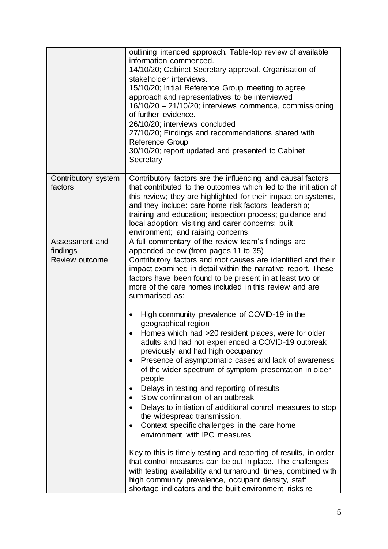|                                | outlining intended approach. Table-top review of available<br>information commenced.<br>14/10/20; Cabinet Secretary approval. Organisation of<br>stakeholder interviews.<br>15/10/20; Initial Reference Group meeting to agree<br>approach and representatives to be interviewed<br>16/10/20 - 21/10/20; interviews commence, commissioning<br>of further evidence.<br>26/10/20; interviews concluded<br>27/10/20; Findings and recommendations shared with<br>Reference Group<br>30/10/20; report updated and presented to Cabinet<br>Secretary |
|--------------------------------|--------------------------------------------------------------------------------------------------------------------------------------------------------------------------------------------------------------------------------------------------------------------------------------------------------------------------------------------------------------------------------------------------------------------------------------------------------------------------------------------------------------------------------------------------|
| Contributory system<br>factors | Contributory factors are the influencing and causal factors<br>that contributed to the outcomes which led to the initiation of<br>this review; they are highlighted for their impact on systems,<br>and they include: care home risk factors; leadership;<br>training and education; inspection process; guidance and<br>local adoption; visiting and carer concerns; built<br>environment; and raising concerns.                                                                                                                                |
| Assessment and                 | A full commentary of the review team's findings are                                                                                                                                                                                                                                                                                                                                                                                                                                                                                              |
| findings                       | appended below (from pages 11 to 35)                                                                                                                                                                                                                                                                                                                                                                                                                                                                                                             |
| Review outcome                 | Contributory factors and root causes are identified and their<br>impact examined in detail within the narrative report. These<br>factors have been found to be present in at least two or<br>more of the care homes included in this review and are<br>summarised as:                                                                                                                                                                                                                                                                            |
|                                | High community prevalence of COVID-19 in the<br>٠<br>geographical region<br>Homes which had >20 resident places, were for older<br>adults and had not experienced a COVID-19 outbreak                                                                                                                                                                                                                                                                                                                                                            |
|                                | previously and had high occupancy<br>Presence of asymptomatic cases and lack of awareness<br>٠<br>of the wider spectrum of symptom presentation in older                                                                                                                                                                                                                                                                                                                                                                                         |
|                                | people<br>Delays in testing and reporting of results<br>٠                                                                                                                                                                                                                                                                                                                                                                                                                                                                                        |
|                                | Slow confirmation of an outbreak<br>Delays to initiation of additional control measures to stop<br>the widespread transmission.<br>Context specific challenges in the care home                                                                                                                                                                                                                                                                                                                                                                  |
|                                | environment with IPC measures                                                                                                                                                                                                                                                                                                                                                                                                                                                                                                                    |
|                                | Key to this is timely testing and reporting of results, in order<br>that control measures can be put in place. The challenges<br>with testing availability and turnaround times, combined with<br>high community prevalence, occupant density, staff<br>shortage indicators and the built environment risks re                                                                                                                                                                                                                                   |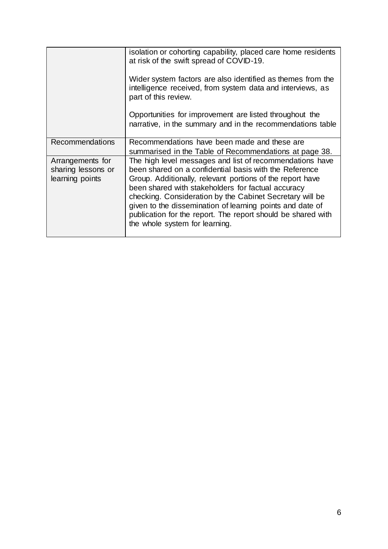|                                                           | isolation or cohorting capability, placed care home residents<br>at risk of the swift spread of COVID-19.                                                                                                                                                                                                                                                                                                                                                        |
|-----------------------------------------------------------|------------------------------------------------------------------------------------------------------------------------------------------------------------------------------------------------------------------------------------------------------------------------------------------------------------------------------------------------------------------------------------------------------------------------------------------------------------------|
|                                                           | Wider system factors are also identified as themes from the<br>intelligence received, from system data and interviews, as<br>part of this review.                                                                                                                                                                                                                                                                                                                |
|                                                           | Opportunities for improvement are listed throughout the<br>narrative, in the summary and in the recommendations table                                                                                                                                                                                                                                                                                                                                            |
| Recommendations                                           | Recommendations have been made and these are<br>summarised in the Table of Recommendations at page 38.                                                                                                                                                                                                                                                                                                                                                           |
| Arrangements for<br>sharing lessons or<br>learning points | The high level messages and list of recommendations have<br>been shared on a confidential basis with the Reference<br>Group. Additionally, relevant portions of the report have<br>been shared with stakeholders for factual accuracy<br>checking. Consideration by the Cabinet Secretary will be<br>given to the dissemination of learning points and date of<br>publication for the report. The report should be shared with<br>the whole system for learning. |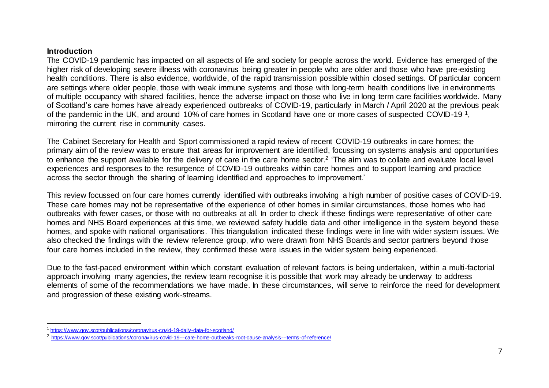#### **Introduction**

l

The COVID-19 pandemic has impacted on all aspects of life and society for people across the world. Evidence has emerged of the higher risk of developing severe illness with coronavirus being greater in people who are older and those who have pre-existing health conditions. There is also evidence, worldwide, of the rapid transmission possible within closed settings. Of particular concern are settings where older people, those with weak immune systems and those with long-term health conditions live in environments of multiple occupancy with shared facilities, hence the adverse impact on those who live in long term care facilities worldwide. Many of Scotland's care homes have already experienced outbreaks of COVID-19, particularly in March / April 2020 at the previous peak of the pandemic in the UK, and around 10% of care homes in Scotland have one or more cases of suspected COVID-19<sup>1</sup>, mirroring the current rise in community cases.

The Cabinet Secretary for Health and Sport commissioned a rapid review of recent COVID-19 outbreaks in care homes; the primary aim of the review was to ensure that areas for improvement are identified, focussing on systems analysis and opportunities to enhance the support available for the delivery of care in the care home sector.<sup>2</sup> 'The aim was to collate and evaluate local level experiences and responses to the resurgence of COVID-19 outbreaks within care homes and to support learning and practice across the sector through the sharing of learning identified and approaches to improvement.'

This review focussed on four care homes currently identified with outbreaks involving a high number of positive cases of COVID-19. These care homes may not be representative of the experience of other homes in similar circumstances, those homes who had outbreaks with fewer cases, or those with no outbreaks at all. In order to check if these findings were representative of other care homes and NHS Board experiences at this time, we reviewed safety huddle data and other intelligence in the system beyond these homes, and spoke with national organisations. This triangulation indicated these findings were in line with wider system issues. We also checked the findings with the review reference group, who were drawn from NHS Boards and sector partners beyond those four care homes included in the review, they confirmed these were issues in the wider system being experienced.

Due to the fast-paced environment within which constant evaluation of relevant factors is being undertaken, within a multi-factorial approach involving many agencies, the review team recognise it is possible that work may already be underway to address elements of some of the recommendations we have made. In these circumstances, will serve to reinforce the need for development and progression of these existing work-streams.

<sup>1</sup> <https://www.gov.scot/publications/coronavirus-covid-19-daily-data-for-scotland/>

<sup>2</sup> <https://www.gov.scot/publications/coronavirus-covid-19---care-home-outbreaks-root-cause-analysis---terms-of-reference/>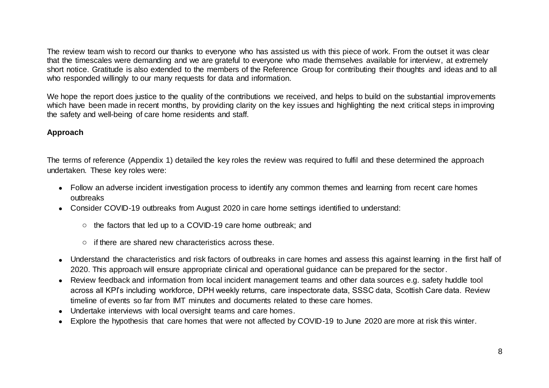The review team wish to record our thanks to everyone who has assisted us with this piece of work. From the outset it was clear that the timescales were demanding and we are grateful to everyone who made themselves available for interview, at extremely short notice. Gratitude is also extended to the members of the Reference Group for contributing their thoughts and ideas and to all who responded willingly to our many requests for data and information.

We hope the report does justice to the quality of the contributions we received, and helps to build on the substantial improvements which have been made in recent months, by providing clarity on the key issues and highlighting the next critical steps in improving the safety and well-being of care home residents and staff.

# **Approach**

The terms of reference (Appendix 1) detailed the key roles the review was required to fulfil and these determined the approach undertaken. These key roles were:

- Follow an adverse incident investigation process to identify any common themes and learning from recent care homes outbreaks
- Consider COVID-19 outbreaks from August 2020 in care home settings identified to understand:
	- o the factors that led up to a COVID-19 care home outbreak; and
	- o if there are shared new characteristics across these.
- Understand the characteristics and risk factors of outbreaks in care homes and assess this against learning in the first half of 2020. This approach will ensure appropriate clinical and operational guidance can be prepared for the sector.
- Review feedback and information from local incident management teams and other data sources e.g. safety huddle tool across all KPI's including workforce, DPH weekly returns, care inspectorate data, SSSC data, Scottish Care data. Review timeline of events so far from IMT minutes and documents related to these care homes.
- Undertake interviews with local oversight teams and care homes.
- Explore the hypothesis that care homes that were not affected by COVID-19 to June 2020 are more at risk this winter.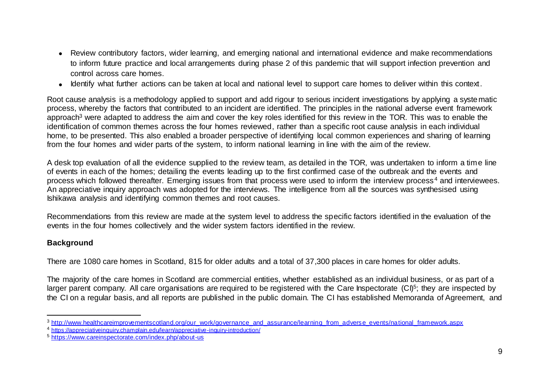- Review contributory factors, wider learning, and emerging national and international evidence and make recommendations to inform future practice and local arrangements during phase 2 of this pandemic that will support infection prevention and control across care homes.
- Identify what further actions can be taken at local and national level to support care homes to deliver within this context.

Root cause analysis is a methodology applied to support and add rigour to serious incident investigations by applying a syste matic process, whereby the factors that contributed to an incident are identified. The principles in the national adverse event framework approach<sup>3</sup> were adapted to address the aim and cover the key roles identified for this review in the TOR. This was to enable the identification of common themes across the four homes reviewed, rather than a specific root cause analysis in each individual home, to be presented. This also enabled a broader perspective of identifying local common experiences and sharing of learning from the four homes and wider parts of the system, to inform national learning in line with the aim of the review.

A desk top evaluation of all the evidence supplied to the review team, as detailed in the TOR, was undertaken to inform a time line of events in each of the homes; detailing the events leading up to the first confirmed case of the outbreak and the events and process which followed thereafter. Emerging issues from that process were used to inform the interview process<sup>4</sup> and interviewees. An appreciative inquiry approach was adopted for the interviews. The intelligence from all the sources was synthesised using Ishikawa analysis and identifying common themes and root causes.

Recommendations from this review are made at the system level to address the specific factors identified in the evaluation of the events in the four homes collectively and the wider system factors identified in the review.

# **Background**

l

There are 1080 care homes in Scotland, 815 for older adults and a total of 37,300 places in care homes for older adults.

The majority of the care homes in Scotland are commercial entities, whether established as an individual business, or as part of a larger parent company. All care organisations are required to be registered with the Care Inspectorate (CI)<sup>5</sup>; they are inspected by the CI on a regular basis, and all reports are published in the public domain. The CI has established Memoranda of Agreement, and

<sup>3</sup> [http://www.healthcareimprovementscotland.org/our\\_work/governance\\_and\\_assurance/learning\\_from\\_adverse\\_events/national\\_framework.aspx](http://www.healthcareimprovementscotland.org/our_work/governance_and_assurance/learning_from_adverse_events/national_framework.aspx)

<sup>4</sup> <https://appreciativeinquiry.champlain.edu/learn/appreciative-inquiry-introduction/>

<sup>5</sup> <https://www.careinspectorate.com/index.php/about-us>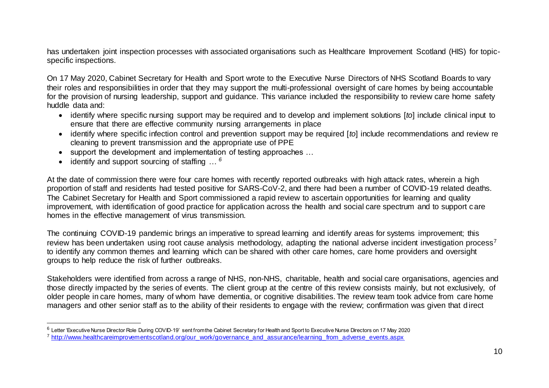has undertaken joint inspection processes with associated organisations such as Healthcare Improvement Scotland (HIS) for topicspecific inspections.

On 17 May 2020, Cabinet Secretary for Health and Sport wrote to the Executive Nurse Directors of NHS Scotland Boards to vary their roles and responsibilities in order that they may support the multi-professional oversight of care homes by being accountable for the provision of nursing leadership, support and guidance. This variance included the responsibility to review care home safety huddle data and:

- identify where specific nursing support may be required and to develop and implement solutions [*to*] include clinical input to ensure that there are effective community nursing arrangements in place
- identify where specific infection control and prevention support may be required [*to*] include recommendations and review re cleaning to prevent transmission and the appropriate use of PPE
- support the development and implementation of testing approaches ...
- identify and support sourcing of staffing … *<sup>6</sup>*

l

At the date of commission there were four care homes with recently reported outbreaks with high attack rates, wherein a high proportion of staff and residents had tested positive for SARS-CoV-2, and there had been a number of COVID-19 related deaths. The Cabinet Secretary for Health and Sport commissioned a rapid review to ascertain opportunities for learning and quality improvement, with identification of good practice for application across the health and social care spectrum and to support care homes in the effective management of virus transmission.

The continuing COVID-19 pandemic brings an imperative to spread learning and identify areas for systems improvement; this review has been undertaken using root cause analysis methodology, adapting the national adverse incident investigation process<sup>7</sup> to identify any common themes and learning which can be shared with other care homes, care home providers and oversight groups to help reduce the risk of further outbreaks.

Stakeholders were identified from across a range of NHS, non-NHS, charitable, health and social care organisations, agencies and those directly impacted by the series of events. The client group at the centre of this review consists mainly, but not exclusively, of older people in care homes, many of whom have dementia, or cognitive disabilities. The review team took advice from care home managers and other senior staff as to the ability of their residents to engage with the review; confirmation was given that d irect

<sup>&</sup>lt;sup>6</sup> Letter 'Executive Nurse Director Role During COVID-19' sent from the Cabinet Secretary for Health and Sport to Executive Nurse Directors on 17 May 2020 <sup>7</sup> [http://www.healthcareimprovementscotland.org/our\\_work/governance\\_and\\_assurance/learning\\_from\\_adverse\\_events.aspx](http://www.healthcareimprovementscotland.org/our_work/governance_and_assurance/learning_from_adverse_events.aspx)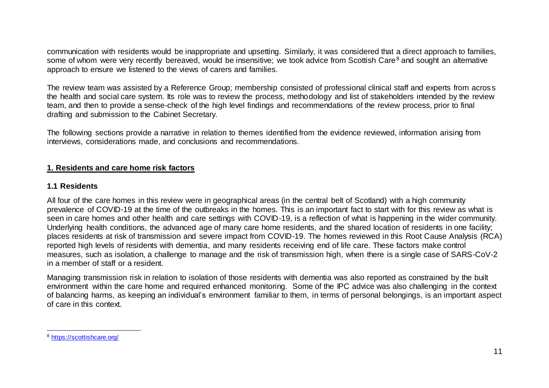communication with residents would be inappropriate and upsetting. Similarly, it was considered that a direct approach to families, some of whom were very recently bereaved, would be insensitive; we took advice from Scottish Care<sup>8</sup> and sought an alternative approach to ensure we listened to the views of carers and families.

The review team was assisted by a Reference Group; membership consisted of professional clinical staff and experts from acros s the health and social care system. Its role was to review the process, methodology and list of stakeholders intended by the review team, and then to provide a sense-check of the high level findings and recommendations of the review process, prior to final drafting and submission to the Cabinet Secretary.

The following sections provide a narrative in relation to themes identified from the evidence reviewed, information arising from interviews, considerations made, and conclusions and recommendations.

# **1. Residents and care home risk factors**

#### **1.1 Residents**

All four of the care homes in this review were in geographical areas (in the central belt of Scotland) with a high community prevalence of COVID-19 at the time of the outbreaks in the homes. This is an important fact to start with for this review as what is seen in care homes and other health and care settings with COVID-19, is a reflection of what is happening in the wider community. Underlying health conditions, the advanced age of many care home residents, and the shared location of residents in one facility; places residents at risk of transmission and severe impact from COVID-19. The homes reviewed in this Root Cause Analysis (RCA) reported high levels of residents with dementia, and many residents receiving end of life care. These factors make control measures, such as isolation, a challenge to manage and the risk of transmission high, when there is a single case of SARS-CoV-2 in a member of staff or a resident.

Managing transmission risk in relation to isolation of those residents with dementia was also reported as constrained by the built environment within the care home and required enhanced monitoring. Some of the IPC advice was also challenging in the context of balancing harms, as keeping an individual's environment familiar to them, in terms of personal belongings, is an important aspect of care in this context.

l

<sup>8</sup> <https://scottishcare.org/>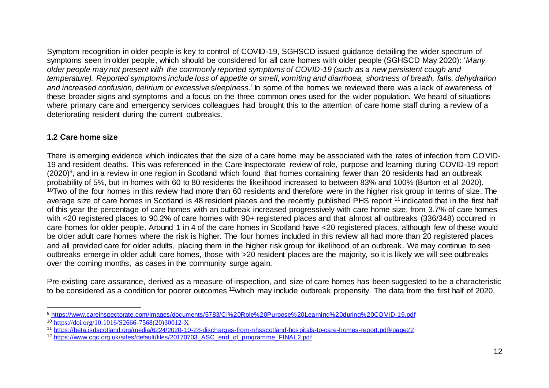Symptom recognition in older people is key to control of COVID-19, SGHSCD issued guidance detailing the wider spectrum of symptoms seen in older people, which should be considered for all care homes with older people (SGHSCD May 2020): '*Many older people may not present with the commonly reported symptoms of COVID-19 (such as a new persistent cough and temperature). Reported symptoms include loss of appetite or smell, vomiting and diarrhoea, shortness of breath, falls, dehydration and increased confusion, delirium or excessive sleepiness.*' In some of the homes we reviewed there was a lack of awareness of these broader signs and symptoms and a focus on the three common ones used for the wider population. We heard of situations where primary care and emergency services colleagues had brought this to the attention of care home staff during a review of a deteriorating resident during the current outbreaks.

# **1.2 Care home size**

There is emerging evidence which indicates that the size of a care home may be associated with the rates of infection from COVID-19 and resident deaths. This was referenced in the Care Inspectorate review of role, purpose and learning during COVID-19 report (2020)<sup>9</sup>, and in a review in one region in Scotland which found that homes containing fewer than 20 residents had an outbreak probability of 5%, but in homes with 60 to 80 residents the likelihood increased to between 83% and 100% (Burton et al 2020).  $10$ Two of the four homes in this review had more than 60 residents and therefore were in the higher risk group in terms of size. The average size of care homes in Scotland is 48 resident places and the recently published PHS report <sup>11</sup> indicated that in the first half of this year the percentage of care homes with an outbreak increased progressively with care home size, from 3.7% of care homes with <20 registered places to 90.2% of care homes with 90+ registered places and that almost all outbreaks (336/348) occurred in care homes for older people. Around 1 in 4 of the care homes in Scotland have <20 registered places, although few of these would be older adult care homes where the risk is higher. The four homes included in this review all had more than 20 registered places and all provided care for older adults, placing them in the higher risk group for likelihood of an outbreak. We may continue to see outbreaks emerge in older adult care homes, those with >20 resident places are the majority, so it is likely we will see outbreaks over the coming months, as cases in the community surge again.

Pre-existing care assurance, derived as a measure of inspection, and size of care homes has been suggested to be a characteristic to be considered as a condition for poorer outcomes <sup>12</sup>which may include outbreak propensity. The data from the first half of 2020,

l <sup>9</sup> <https://www.careinspectorate.com/images/documents/5783/CI%20Role%20Purpose%20Learning%20during%20COVID-19.pdf>

<sup>10</sup> [https://doi.org/10.1016/S2666-7568\(20\)30012-X](https://doi.org/10.1016/S2666-7568(20)30012-X)

<sup>11</sup> <https://beta.isdscotland.org/media/6224/2020-10-28-discharges-from-nhsscotland-hospitals-to-care-homes-report.pdf#page22>

<sup>12</sup> [https://www.cqc.org.uk/sites/default/files/20170703\\_ASC\\_end\\_of\\_programme\\_FINAL2.pdf](https://www.cqc.org.uk/sites/default/files/20170703_ASC_end_of_programme_FINAL2.pdf)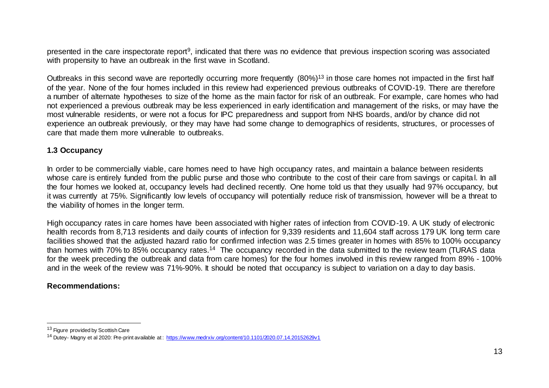presented in the care inspectorate report<sup>9</sup>, indicated that there was no evidence that previous inspection scoring was associated with propensity to have an outbreak in the first wave in Scotland.

Outbreaks in this second wave are reportedly occurring more frequently (80%)<sup>13</sup> in those care homes not impacted in the first half of the year. None of the four homes included in this review had experienced previous outbreaks of COVID-19. There are therefore a number of alternate hypotheses to size of the home as the main factor for risk of an outbreak. For example, care homes who had not experienced a previous outbreak may be less experienced in early identification and management of the risks, or may have the most vulnerable residents, or were not a focus for IPC preparedness and support from NHS boards, and/or by chance did not experience an outbreak previously, or they may have had some change to demographics of residents, structures, or processes of care that made them more vulnerable to outbreaks.

# **1.3 Occupancy**

In order to be commercially viable, care homes need to have high occupancy rates, and maintain a balance between residents whose care is entirely funded from the public purse and those who contribute to the cost of their care from savings or capital. In all the four homes we looked at, occupancy levels had declined recently. One home told us that they usually had 97% occupancy, but it was currently at 75%. Significantly low levels of occupancy will potentially reduce risk of transmission, however will be a threat to the viability of homes in the longer term.

High occupancy rates in care homes have been associated with higher rates of infection from COVID-19. A UK study of electronic health records from 8,713 residents and daily counts of infection for 9,339 residents and 11,604 staff across 179 UK long term care facilities showed that the adjusted hazard ratio for confirmed infection was 2.5 times greater in homes with 85% to 100% occupancy than homes with 70% to 85% occupancy rates.<sup>14</sup> The occupancy recorded in the data submitted to the review team (TURAS data for the week preceding the outbreak and data from care homes) for the four homes involved in this review ranged from 89% - 100% and in the week of the review was 71%-90%. It should be noted that occupancy is subject to variation on a day to day basis.

# **Recommendations:**

l

<sup>&</sup>lt;sup>13</sup> Figure provided by Scottish Care

<sup>14</sup> Dutey- Magny et al 2020: Pre-print available at :<https://www.medrxiv.org/content/10.1101/2020.07.14.20152629v1>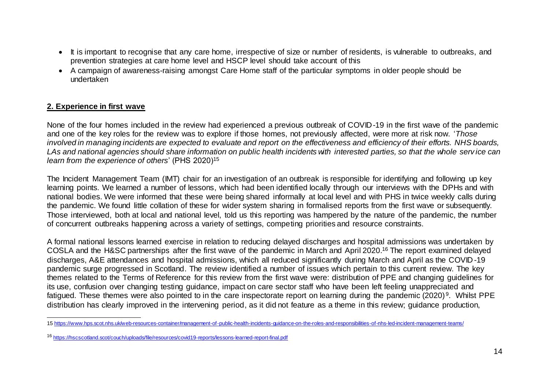- It is important to recognise that any care home, irrespective of size or number of residents, is vulnerable to outbreaks, and prevention strategies at care home level and HSCP level should take account of this
- A campaign of awareness-raising amongst Care Home staff of the particular symptoms in older people should be undertaken

# **2. Experience in first wave**

None of the four homes included in the review had experienced a previous outbreak of COVID-19 in the first wave of the pandemic and one of the key roles for the review was to explore if those homes, not previously affected, were more at risk now. '*Those involved in managing incidents are expected to evaluate and report on the effectiveness and efficiency of their efforts. NHS boards, LAs and national agencies should share information on public health incidents with interested parties, so that the whole serv ice can learn from the experience of others*' (PHS 2020)<sup>15</sup>

The Incident Management Team (IMT) chair for an investigation of an outbreak is responsible for identifying and following up key learning points. We learned a number of lessons, which had been identified locally through our interviews with the DPHs and with national bodies. We were informed that these were being shared informally at local level and with PHS in twice weekly calls during the pandemic. We found little collation of these for wider system sharing in formalised reports from the first wave or subsequently. Those interviewed, both at local and national level, told us this reporting was hampered by the nature of the pandemic, the number of concurrent outbreaks happening across a variety of settings, competing priorities and resource constraints.

A formal national lessons learned exercise in relation to reducing delayed discharges and hospital admissions was undertaken by COSLA and the H&SC partnerships after the first wave of the pandemic in March and April 2020. <sup>16</sup> The report examined delayed discharges, A&E attendances and hospital admissions, which all reduced significantly during March and April as the COVID -19 pandemic surge progressed in Scotland. The review identified a number of issues which pertain to this current review. The key themes related to the Terms of Reference for this review from the first wave were: distribution of PPE and changing guidelines for its use, confusion over changing testing guidance, impact on care sector staff who have been left feeling unappreciated and fatigued. These themes were also pointed to in the care inspectorate report on learning during the pandemic (2020)<sup>9</sup>. Whilst PPE distribution has clearly improved in the intervening period, as it did not feature as a theme in this review; guidance production,

l 15 <https://www.hps.scot.nhs.uk/web-resources-container/management-of-public-health-incidents-guidance-on-the-roles-and-responsibilities-of-nhs-led-incident-management-teams/>

<sup>16</sup> <https://hscscotland.scot/couch/uploads/file/resources/covid19-reports/lessons-learned-report-final.pdf>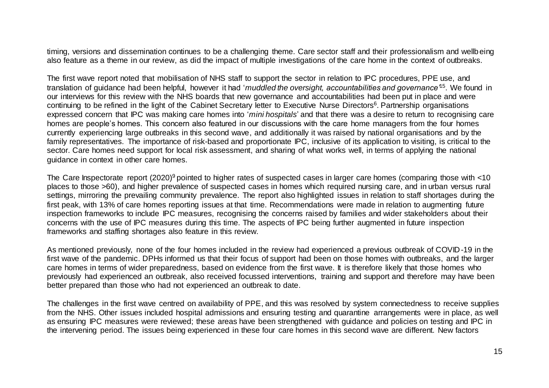timing, versions and dissemination continues to be a challenging theme. Care sector staff and their professionalism and wellb eing also feature as a theme in our review, as did the impact of multiple investigations of the care home in the context of outbreaks.

The first wave report noted that mobilisation of NHS staff to support the sector in relation to IPC procedures, PPE use, and translation of guidance had been helpful, however it had '*muddled the oversight, accountabilities and governance'*<sup>15</sup>. We found in our interviews for this review with the NHS boards that new governance and accountabilities had been put in place and were continuing to be refined in the light of the Cabinet Secretary letter to Executive Nurse Directors<sup>6</sup>. Partnership organisations expressed concern that IPC was making care homes into '*mini hospitals*' and that there was a desire to return to recognising care homes are people's homes. This concern also featured in our discussions with the care home managers from the four homes currently experiencing large outbreaks in this second wave, and additionally it was raised by national organisations and by the family representatives. The importance of risk-based and proportionate IPC, inclusive of its application to visiting, is critical to the sector. Care homes need support for local risk assessment, and sharing of what works well, in terms of applying the national guidance in context in other care homes.

The Care Inspectorate report  $(2020)^9$  pointed to higher rates of suspected cases in larger care homes (comparing those with  $\lt 10$ places to those >60), and higher prevalence of suspected cases in homes which required nursing care, and in urban versus rural settings, mirroring the prevailing community prevalence. The report also highlighted issues in relation to staff shortages during the first peak, with 13% of care homes reporting issues at that time. Recommendations were made in relation to augmenting future inspection frameworks to include IPC measures, recognising the concerns raised by families and wider stakeholders about their concerns with the use of IPC measures during this time. The aspects of IPC being further augmented in future inspection frameworks and staffing shortages also feature in this review.

As mentioned previously, none of the four homes included in the review had experienced a previous outbreak of COVID-19 in the first wave of the pandemic. DPHs informed us that their focus of support had been on those homes with outbreaks, and the larger care homes in terms of wider preparedness, based on evidence from the first wave. It is therefore likely that those homes who previously had experienced an outbreak, also received focussed interventions, training and support and therefore may have been better prepared than those who had not experienced an outbreak to date.

The challenges in the first wave centred on availability of PPE, and this was resolved by system connectedness to receive supplies from the NHS. Other issues included hospital admissions and ensuring testing and quarantine arrangements were in place, as well as ensuring IPC measures were reviewed; these areas have been strengthened with guidance and policies on testing and IPC in the intervening period. The issues being experienced in these four care homes in this second wave are different. New factors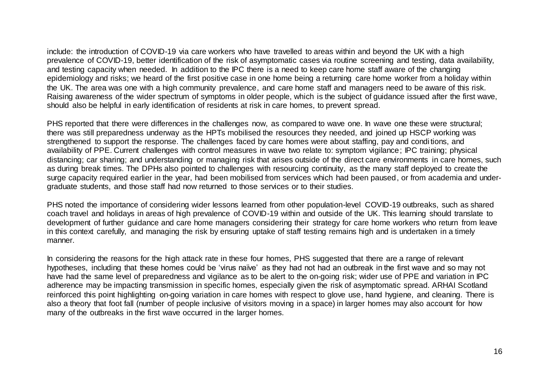include: the introduction of COVID-19 via care workers who have travelled to areas within and beyond the UK with a high prevalence of COVID-19, better identification of the risk of asymptomatic cases via routine screening and testing, data availability, and testing capacity when needed. In addition to the IPC there is a need to keep care home staff aware of the changing epidemiology and risks; we heard of the first positive case in one home being a returning care home worker from a holiday within the UK. The area was one with a high community prevalence, and care home staff and managers need to be aware of this risk. Raising awareness of the wider spectrum of symptoms in older people, which is the subject of guidance issued after the first wave, should also be helpful in early identification of residents at risk in care homes, to prevent spread.

PHS reported that there were differences in the challenges now, as compared to wave one. In wave one these were structural; there was still preparedness underway as the HPTs mobilised the resources they needed, and joined up HSCP working was strengthened to support the response. The challenges faced by care homes were about staffing, pay and condi tions, and availability of PPE. Current challenges with control measures in wave two relate to: symptom vigilance; IPC training; physical distancing; car sharing; and understanding or managing risk that arises outside of the direct care environments in care homes, such as during break times. The DPHs also pointed to challenges with resourcing continuity, as the many staff deployed to create the surge capacity required earlier in the year, had been mobilised from services which had been paused, or from academia and undergraduate students, and those staff had now returned to those services or to their studies.

PHS noted the importance of considering wider lessons learned from other population-level COVID-19 outbreaks, such as shared coach travel and holidays in areas of high prevalence of COVID-19 within and outside of the UK. This learning should translate to development of further guidance and care home managers considering their strategy for care home workers who return from leave in this context carefully, and managing the risk by ensuring uptake of staff testing remains high and is undertaken in a timely manner.

In considering the reasons for the high attack rate in these four homes, PHS suggested that there are a range of relevant hypotheses, including that these homes could be 'virus naïve' as they had not had an outbreak in the first wave and so may not have had the same level of preparedness and vigilance as to be alert to the on-going risk; wider use of PPE and variation in IPC adherence may be impacting transmission in specific homes, especially given the risk of asymptomatic spread. ARHAI Scotland reinforced this point highlighting on-going variation in care homes with respect to glove use, hand hygiene, and cleaning. There is also a theory that foot fall (number of people inclusive of visitors moving in a space) in larger homes may also account for how many of the outbreaks in the first wave occurred in the larger homes.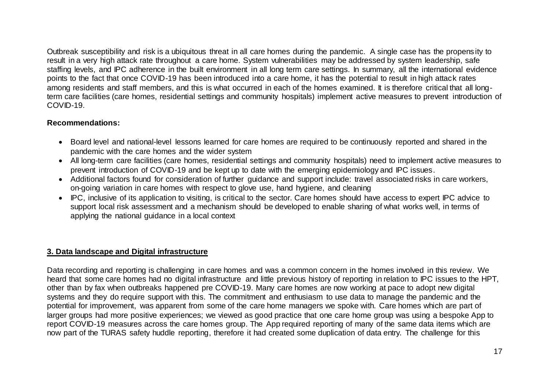Outbreak susceptibility and risk is a ubiquitous threat in all care homes during the pandemic. A single case has the propens ity to result in a very high attack rate throughout a care home. System vulnerabilities may be addressed by system leadership, safe staffing levels, and IPC adherence in the built environment in all long term care settings. In summary, all the international evidence points to the fact that once COVID-19 has been introduced into a care home, it has the potential to result in high attack rates among residents and staff members, and this is what occurred in each of the homes examined. It is therefore critical that all longterm care facilities (care homes, residential settings and community hospitals) implement active measures to prevent introduction of COVID-19.

# **Recommendations:**

- Board level and national-level lessons learned for care homes are required to be continuously reported and shared in the pandemic with the care homes and the wider system
- All long-term care facilities (care homes, residential settings and community hospitals) need to implement active measures to prevent introduction of COVID-19 and be kept up to date with the emerging epidemiology and IPC issues.
- Additional factors found for consideration of further guidance and support include: travel associated risks in care workers, on-going variation in care homes with respect to glove use, hand hygiene, and cleaning
- IPC, inclusive of its application to visiting, is critical to the sector. Care homes should have access to expert IPC advice to support local risk assessment and a mechanism should be developed to enable sharing of what works well, in terms of applying the national guidance in a local context

# **3. Data landscape and Digital infrastructure**

Data recording and reporting is challenging in care homes and was a common concern in the homes involved in this review. We heard that some care homes had no digital infrastructure and little previous history of reporting in relation to IPC issues to the HPT, other than by fax when outbreaks happened pre COVID-19. Many care homes are now working at pace to adopt new digital systems and they do require support with this. The commitment and enthusiasm to use data to manage the pandemic and the potential for improvement, was apparent from some of the care home managers we spoke with. Care homes which are part of larger groups had more positive experiences; we viewed as good practice that one care home group was using a bespoke App to report COVID-19 measures across the care homes group. The App required reporting of many of the same data items which are now part of the TURAS safety huddle reporting, therefore it had created some duplication of data entry. The challenge for this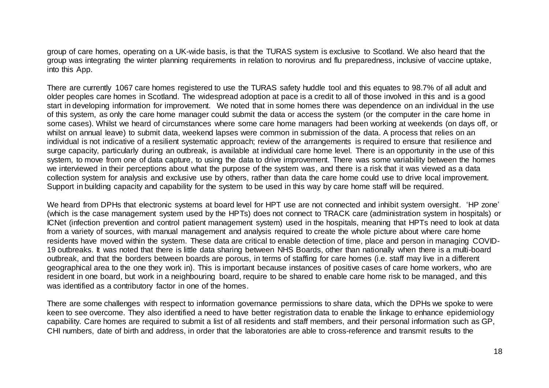group of care homes, operating on a UK-wide basis, is that the TURAS system is exclusive to Scotland. We also heard that the group was integrating the winter planning requirements in relation to norovirus and flu preparedness, inclusive of vaccine uptake, into this App.

There are currently 1067 care homes registered to use the TURAS safety huddle tool and this equates to 98.7% of all adult and older peoples care homes in Scotland. The widespread adoption at pace is a credit to all of those involved in this and is a good start in developing information for improvement. We noted that in some homes there was dependence on an individual in the use of this system, as only the care home manager could submit the data or access the system (or the computer in the care home in some cases). Whilst we heard of circumstances where some care home managers had been working at weekends (on days off, or whilst on annual leave) to submit data, weekend lapses were common in submission of the data. A process that relies on an individual is not indicative of a resilient systematic approach; review of the arrangements is required to ensure that resilience and surge capacity, particularly during an outbreak, is available at individual care home level. There is an opportunity in the use of this system, to move from one of data capture, to using the data to drive improvement. There was some variability between the homes we interviewed in their perceptions about what the purpose of the system was, and there is a risk that it was viewed as a data collection system for analysis and exclusive use by others, rather than data the care home could use to drive local improvement. Support in building capacity and capability for the system to be used in this way by care home staff will be required.

We heard from DPHs that electronic systems at board level for HPT use are not connected and inhibit system oversight. 'HP zone' (which is the case management system used by the HPTs) does not connect to TRACK care (administration system in hospitals) or ICNet (infection prevention and control patient management system) used in the hospitals, meaning that HPTs need to look at data from a variety of sources, with manual management and analysis required to create the whole picture about where care home residents have moved within the system. These data are critical to enable detection of time, place and person in managing COVID-19 outbreaks. It was noted that there is little data sharing between NHS Boards, other than nationally when there is a multi-board outbreak, and that the borders between boards are porous, in terms of staffing for care homes (i.e. staff may live in a different geographical area to the one they work in). This is important because instances of positive cases of care home workers, who are resident in one board, but work in a neighbouring board, require to be shared to enable care home risk to be managed, and this was identified as a contributory factor in one of the homes.

There are some challenges with respect to information governance permissions to share data, which the DPHs we spoke to were keen to see overcome. They also identified a need to have better registration data to enable the linkage to enhance epidemiology capability. Care homes are required to submit a list of all residents and staff members, and their personal information such as GP, CHI numbers, date of birth and address, in order that the laboratories are able to cross-reference and transmit results to the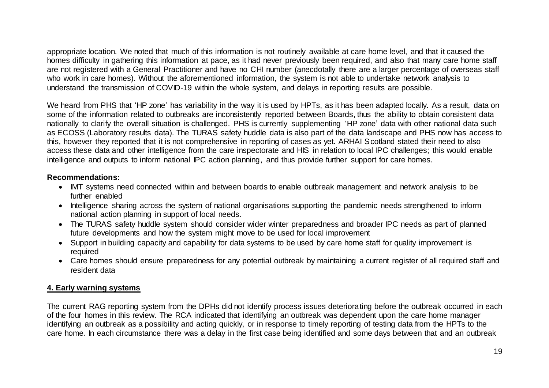appropriate location. We noted that much of this information is not routinely available at care home level, and that it caused the homes difficulty in gathering this information at pace, as it had never previously been required, and also that many care home staff are not registered with a General Practitioner and have no CHI number (anecdotally there are a larger percentage of overseas staff who work in care homes). Without the aforementioned information, the system is not able to undertake network analysis to understand the transmission of COVID-19 within the whole system, and delays in reporting results are possible.

We heard from PHS that 'HP zone' has variability in the way it is used by HPTs, as it has been adapted locally. As a result, data on some of the information related to outbreaks are inconsistently reported between Boards, thus the ability to obtain consistent data nationally to clarify the overall situation is challenged. PHS is currently supplementing 'HP zone' data with other national data such as ECOSS (Laboratory results data). The TURAS safety huddle data is also part of the data landscape and PHS now has access to this, however they reported that it is not comprehensive in reporting of cases as yet. ARHAI Scotland stated their need to also access these data and other intelligence from the care inspectorate and HIS in relation to local IPC challenges; this would enable intelligence and outputs to inform national IPC action planning, and thus provide further support for care homes.

# **Recommendations:**

- IMT systems need connected within and between boards to enable outbreak management and network analysis to be further enabled
- Intelligence sharing across the system of national organisations supporting the pandemic needs strengthened to inform national action planning in support of local needs.
- The TURAS safety huddle system should consider wider winter preparedness and broader IPC needs as part of planned future developments and how the system might move to be used for local improvement
- Support in building capacity and capability for data systems to be used by care home staff for quality improvement is required
- Care homes should ensure preparedness for any potential outbreak by maintaining a current register of all required staff and resident data

# **4. Early warning systems**

The current RAG reporting system from the DPHs did not identify process issues deteriorating before the outbreak occurred in each of the four homes in this review. The RCA indicated that identifying an outbreak was dependent upon the care home manager identifying an outbreak as a possibility and acting quickly, or in response to timely reporting of testing data from the HPTs to the care home. In each circumstance there was a delay in the first case being identified and some days between that and an outbreak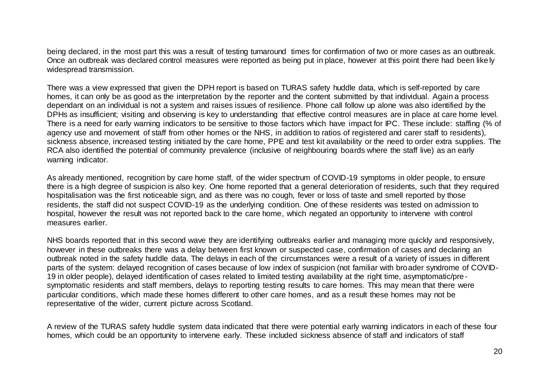being declared, in the most part this was a result of testing turnaround times for confirmation of two or more cases as an outbreak. Once an outbreak was declared control measures were reported as being put in place, however at this point there had been like ly widespread transmission.

There was a view expressed that given the DPH report is based on TURAS safety huddle data, which is self-reported by care homes, it can only be as good as the interpretation by the reporter and the content submitted by that individual. Again a process dependant on an individual is not a system and raises issues of resilience. Phone call follow up alone was also identified by the DPHs as insufficient; visiting and observing is key to understanding that effective control measures are in place at care home level. There is a need for early warning indicators to be sensitive to those factors which have impact for IPC. These include: staffing (% of agency use and movement of staff from other homes or the NHS, in addition to ratios of registered and carer staff to residents), sickness absence, increased testing initiated by the care home, PPE and test kit availability or the need to order extra supplies. The RCA also identified the potential of community prevalence (inclusive of neighbouring boards where the staff live) as an early warning indicator.

As already mentioned, recognition by care home staff, of the wider spectrum of COVID-19 symptoms in older people, to ensure there is a high degree of suspicion is also key. One home reported that a general deterioration of residents, such that they required hospitalisation was the first noticeable sign, and as there was no cough, fever or loss of taste and smell reported by those residents, the staff did not suspect COVID-19 as the underlying condition. One of these residents was tested on admission to hospital, however the result was not reported back to the care home, which negated an opportunity to intervene with control measures earlier.

NHS boards reported that in this second wave they are identifying outbreaks earlier and managing more quickly and responsively, however in these outbreaks there was a delay between first known or suspected case, confirmation of cases and declaring an outbreak noted in the safety huddle data. The delays in each of the circumstances were a result of a variety of issues in different parts of the system: delayed recognition of cases because of low index of suspicion (not familiar with broader syndrome of COVID-19 in older people), delayed identification of cases related to limited testing availability at the right time, asymptomatic/presymptomatic residents and staff members, delays to reporting testing results to care homes. This may mean that there were particular conditions, which made these homes different to other care homes, and as a result these homes may not be representative of the wider, current picture across Scotland.

A review of the TURAS safety huddle system data indicated that there were potential early warning indicators in each of these four homes, which could be an opportunity to intervene early. These included sickness absence of staff and indicators of staff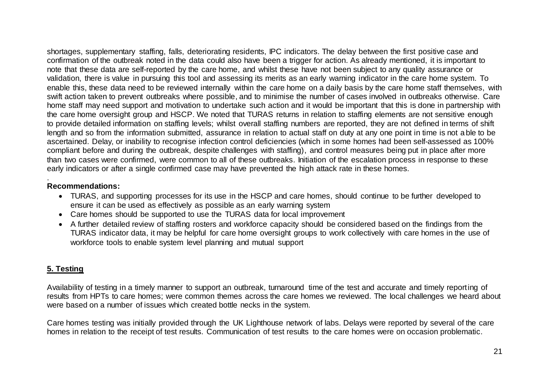shortages, supplementary staffing, falls, deteriorating residents, IPC indicators. The delay between the first positive case and confirmation of the outbreak noted in the data could also have been a trigger for action. As already mentioned, it is important to note that these data are self-reported by the care home, and whilst these have not been subject to any quality assurance or validation, there is value in pursuing this tool and assessing its merits as an early warning indicator in the care home system. To enable this, these data need to be reviewed internally within the care home on a daily basis by the care home staff themselves, with swift action taken to prevent outbreaks where possible, and to minimise the number of cases involved in outbreaks otherwise. Care home staff may need support and motivation to undertake such action and it would be important that this is done in partnership with the care home oversight group and HSCP. We noted that TURAS returns in relation to staffing elements are not sensitive enough to provide detailed information on staffing levels; whilst overall staffing numbers are reported, they are not defined in terms of shift length and so from the information submitted, assurance in relation to actual staff on duty at any one point in time is not able to be ascertained. Delay, or inability to recognise infection control deficiencies (which in some homes had been self-assessed as 100% compliant before and during the outbreak, despite challenges with staffing), and control measures being put in place after more than two cases were confirmed, were common to all of these outbreaks. Initiation of the escalation process in response to these early indicators or after a single confirmed case may have prevented the high attack rate in these homes.

#### . **Recommendations:**

- TURAS, and supporting processes for its use in the HSCP and care homes, should continue to be further developed to ensure it can be used as effectively as possible as an early warning system
- Care homes should be supported to use the TURAS data for local improvement
- A further detailed review of staffing rosters and workforce capacity should be considered based on the findings from the TURAS indicator data, it may be helpful for care home oversight groups to work collectively with care homes in the use of workforce tools to enable system level planning and mutual support

# **5. Testing**

Availability of testing in a timely manner to support an outbreak, turnaround time of the test and accurate and timely reporting of results from HPTs to care homes; were common themes across the care homes we reviewed. The local challenges we heard about were based on a number of issues which created bottle necks in the system.

Care homes testing was initially provided through the UK Lighthouse network of labs. Delays were reported by several of the care homes in relation to the receipt of test results. Communication of test results to the care homes were on occasion problematic.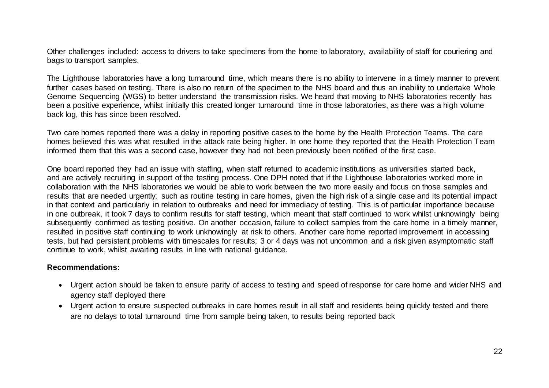Other challenges included: access to drivers to take specimens from the home to laboratory, availability of staff for couriering and bags to transport samples.

The Lighthouse laboratories have a long turnaround time, which means there is no ability to intervene in a timely manner to prevent further cases based on testing. There is also no return of the specimen to the NHS board and thus an inability to undertake Whole Genome Sequencing (WGS) to better understand the transmission risks. We heard that moving to NHS laboratories recently has been a positive experience, whilst initially this created longer turnaround time in those laboratories, as there was a high volume back log, this has since been resolved.

Two care homes reported there was a delay in reporting positive cases to the home by the Health Protection Teams. The care homes believed this was what resulted in the attack rate being higher. In one home they reported that the Health Protection Team informed them that this was a second case, however they had not been previously been notified of the first case.

One board reported they had an issue with staffing, when staff returned to academic institutions as universities started back, and are actively recruiting in support of the testing process. One DPH noted that if the Lighthouse laboratories worked more in collaboration with the NHS laboratories we would be able to work between the two more easily and focus on those samples and results that are needed urgently; such as routine testing in care homes, given the high risk of a single case and its potential impact in that context and particularly in relation to outbreaks and need for immediacy of testing. This is of particular importance because in one outbreak, it took 7 days to confirm results for staff testing, which meant that staff continued to work whilst unknowingly being subsequently confirmed as testing positive. On another occasion, failure to collect samples from the care home in a timely manner, resulted in positive staff continuing to work unknowingly at risk to others. Another care home reported improvement in accessing tests, but had persistent problems with timescales for results; 3 or 4 days was not uncommon and a risk given asymptomatic staff continue to work, whilst awaiting results in line with national guidance.

#### **Recommendations:**

- Urgent action should be taken to ensure parity of access to testing and speed of response for care home and wider NHS and agency staff deployed there
- Urgent action to ensure suspected outbreaks in care homes result in all staff and residents being quickly tested and there are no delays to total turnaround time from sample being taken, to results being reported back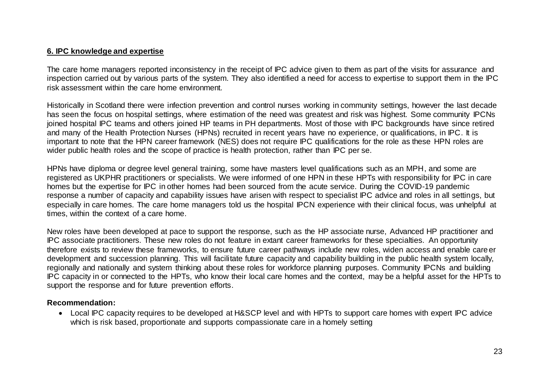# **6. IPC knowledge and expertise**

The care home managers reported inconsistency in the receipt of IPC advice given to them as part of the visits for assurance and inspection carried out by various parts of the system. They also identified a need for access to expertise to support them in the IPC risk assessment within the care home environment.

Historically in Scotland there were infection prevention and control nurses working in community settings, however the last decade has seen the focus on hospital settings, where estimation of the need was greatest and risk was highest. Some community IPCNs joined hospital IPC teams and others joined HP teams in PH departments. Most of those with IPC backgrounds have since retired and many of the Health Protection Nurses (HPNs) recruited in recent years have no experience, or qualifications, in IPC. It is important to note that the HPN career framework (NES) does not require IPC qualifications for the role as these HPN roles are wider public health roles and the scope of practice is health protection, rather than IPC per se.

HPNs have diploma or degree level general training, some have masters level qualifications such as an MPH, and some are registered as UKPHR practitioners or specialists. We were informed of one HPN in these HPTs with responsibility for IPC in care homes but the expertise for IPC in other homes had been sourced from the acute service. During the COVID-19 pandemic response a number of capacity and capability issues have arisen with respect to specialist IPC advice and roles in all settings, but especially in care homes. The care home managers told us the hospital IPCN experience with their clinical focus, was unhelpful at times, within the context of a care home.

New roles have been developed at pace to support the response, such as the HP associate nurse, Advanced HP practitioner and IPC associate practitioners. These new roles do not feature in extant career frameworks for these specialties. An opportunity therefore exists to review these frameworks, to ensure future career pathways include new roles, widen access and enable career development and succession planning. This will facilitate future capacity and capability building in the public health system locally, regionally and nationally and system thinking about these roles for workforce planning purposes. Community IPCNs and building IPC capacity in or connected to the HPTs, who know their local care homes and the context, may be a helpful asset for the HPTs to support the response and for future prevention efforts.

# **Recommendation:**

 Local IPC capacity requires to be developed at H&SCP level and with HPTs to support care homes with expert IPC advice which is risk based, proportionate and supports compassionate care in a homely setting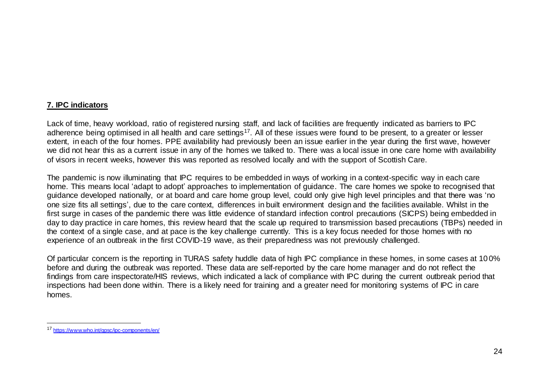# **7. IPC indicators**

Lack of time, heavy workload, ratio of registered nursing staff, and lack of facilities are frequently indicated as barriers to IPC adherence being optimised in all health and care settings<sup>17</sup>. All of these issues were found to be present, to a greater or lesser extent, in each of the four homes. PPE availability had previously been an issue earlier in the year during the first wave, however we did not hear this as a current issue in any of the homes we talked to. There was a local issue in one care home with availability of visors in recent weeks, however this was reported as resolved locally and with the support of Scottish Care.

The pandemic is now illuminating that IPC requires to be embedded in ways of working in a context-specific way in each care home. This means local 'adapt to adopt' approaches to implementation of guidance. The care homes we spoke to recognised that guidance developed nationally, or at board and care home group level, could only give high level principles and that there was 'no one size fits all settings', due to the care context, differences in built environment design and the facilities available. Whilst in the first surge in cases of the pandemic there was little evidence of standard infection control precautions (SICPS) being embedded in day to day practice in care homes, this review heard that the scale up required to transmission based precautions (TBPs) needed in the context of a single case, and at pace is the key challenge currently. This is a key focus needed for those homes with no experience of an outbreak in the first COVID-19 wave, as their preparedness was not previously challenged.

Of particular concern is the reporting in TURAS safety huddle data of high IPC compliance in these homes, in some cases at 10 0% before and during the outbreak was reported. These data are self-reported by the care home manager and do not reflect the findings from care inspectorate/HIS reviews, which indicated a lack of compliance with IPC during the current outbreak period that inspections had been done within. There is a likely need for training and a greater need for monitoring systems of IPC in care homes.

l

<sup>17</sup> <https://www.who.int/gpsc/ipc-components/en/>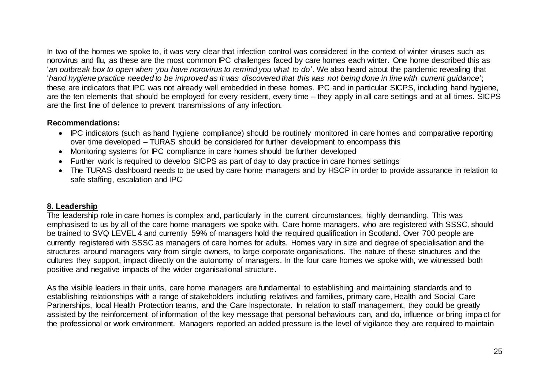In two of the homes we spoke to, it was very clear that infection control was considered in the context of winter viruses such as norovirus and flu, as these are the most common IPC challenges faced by care homes each winter. One home described this as '*an outbreak box to open when you have norovirus to remind you what to do*'. We also heard about the pandemic revealing that '*hand hygiene practice needed to be improved as it was discovered that this was not being done in line with current guidance*'; these are indicators that IPC was not already well embedded in these homes. IPC and in particular SICPS, including hand hygiene, are the ten elements that should be employed for every resident, every time – they apply in all care settings and at all times. SICPS are the first line of defence to prevent transmissions of any infection.

# **Recommendations:**

- IPC indicators (such as hand hygiene compliance) should be routinely monitored in care homes and comparative reporting over time developed – TURAS should be considered for further development to encompass this
- Monitoring systems for IPC compliance in care homes should be further developed
- Further work is required to develop SICPS as part of day to day practice in care homes settings
- The TURAS dashboard needs to be used by care home managers and by HSCP in order to provide assurance in relation to safe staffing, escalation and IPC

# **8. Leadership**

The leadership role in care homes is complex and, particularly in the current circumstances, highly demanding. This was emphasised to us by all of the care home managers we spoke with. Care home managers, who are registered with SSSC, should be trained to SVQ LEVEL 4 and currently 59% of managers hold the required qualification in Scotland. Over 700 people are currently registered with SSSC as managers of care homes for adults. Homes vary in size and degree of specialisation and the structures around managers vary from single owners, to large corporate organisations. The nature of these structures and the cultures they support, impact directly on the autonomy of managers. In the four care homes we spoke with, we witnessed both positive and negative impacts of the wider organisational structure.

As the visible leaders in their units, care home managers are fundamental to establishing and maintaining standards and to establishing relationships with a range of stakeholders including relatives and families, primary care, Health and Social Care Partnerships, local Health Protection teams, and the Care Inspectorate. In relation to staff management, they could be greatly assisted by the reinforcement of information of the key message that personal behaviours can, and do, influence or bring impact for the professional or work environment. Managers reported an added pressure is the level of vigilance they are required to maintain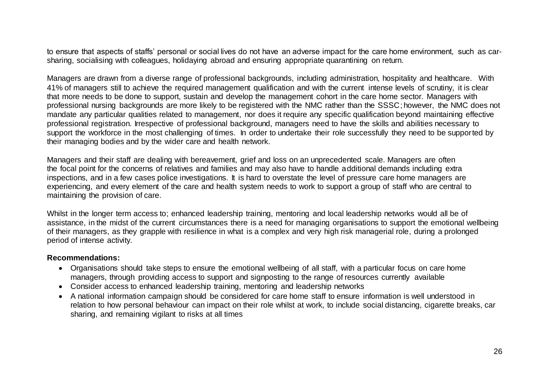to ensure that aspects of staffs' personal or social lives do not have an adverse impact for the care home environment, such as carsharing, socialising with colleagues, holidaying abroad and ensuring appropriate quarantining on return.

Managers are drawn from a diverse range of professional backgrounds, including administration, hospitality and healthcare. With 41% of managers still to achieve the required management qualification and with the current intense levels of scrutiny, it is clear that more needs to be done to support, sustain and develop the management cohort in the care home sector. Managers with professional nursing backgrounds are more likely to be registered with the NMC rather than the SSSC; however, the NMC does not mandate any particular qualities related to management, nor does it require any specific qualification beyond maintaining effective professional registration. Irrespective of professional background, managers need to have the skills and abilities necessary to support the workforce in the most challenging of times. In order to undertake their role successfully they need to be supported by their managing bodies and by the wider care and health network.

Managers and their staff are dealing with bereavement, grief and loss on an unprecedented scale. Managers are often the focal point for the concerns of relatives and families and may also have to handle additional demands including extra inspections, and in a few cases police investigations. It is hard to overstate the level of pressure care home managers are experiencing, and every element of the care and health system needs to work to support a group of staff who are central to maintaining the provision of care.

Whilst in the longer term access to; enhanced leadership training, mentoring and local leadership networks would all be of assistance, in the midst of the current circumstances there is a need for managing organisations to support the emotional wellbeing of their managers, as they grapple with resilience in what is a complex and very high risk managerial role, during a prolonged period of intense activity.

#### **Recommendations:**

- Organisations should take steps to ensure the emotional wellbeing of all staff, with a particular focus on care home managers, through providing access to support and signposting to the range of resources currently available
- Consider access to enhanced leadership training, mentoring and leadership networks
- A national information campaign should be considered for care home staff to ensure information is well understood in relation to how personal behaviour can impact on their role whilst at work, to include social distancing, cigarette breaks, car sharing, and remaining vigilant to risks at all times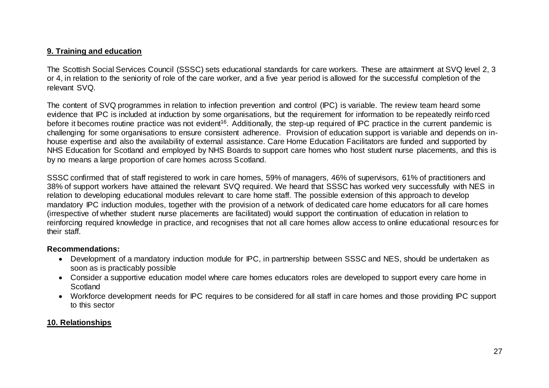# **9. Training and education**

The Scottish Social Services Council (SSSC) sets educational standards for care workers. These are attainment at SVQ level 2, 3 or 4, in relation to the seniority of role of the care worker, and a five year period is allowed for the successful completion of the relevant SVQ.

The content of SVQ programmes in relation to infection prevention and control (IPC) is variable. The review team heard some evidence that IPC is included at induction by some organisations, but the requirement for information to be repeatedly reinfo rced before it becomes routine practice was not evident<sup>16</sup>. Additionally, the step-up required of IPC practice in the current pandemic is challenging for some organisations to ensure consistent adherence. Provision of education support is variable and depends on inhouse expertise and also the availability of external assistance. Care Home Education Facilitators are funded and supported by NHS Education for Scotland and employed by NHS Boards to support care homes who host student nurse placements, and this is by no means a large proportion of care homes across Scotland.

SSSC confirmed that of staff registered to work in care homes, 59% of managers, 46% of supervisors, 61% of practitioners and 38% of support workers have attained the relevant SVQ required. We heard that SSSC has worked very successfully with NES in relation to developing educational modules relevant to care home staff. The possible extension of this approach to develop mandatory IPC induction modules, together with the provision of a network of dedicated care home educators for all care homes (irrespective of whether student nurse placements are facilitated) would support the continuation of education in relation to reinforcing required knowledge in practice, and recognises that not all care homes allow access to online educational resources for their staff.

# **Recommendations:**

- Development of a mandatory induction module for IPC, in partnership between SSSC and NES, should be undertaken as soon as is practicably possible
- Consider a supportive education model where care homes educators roles are developed to support every care home in **Scotland**
- Workforce development needs for IPC requires to be considered for all staff in care homes and those providing IPC support to this sector

# **10. Relationships**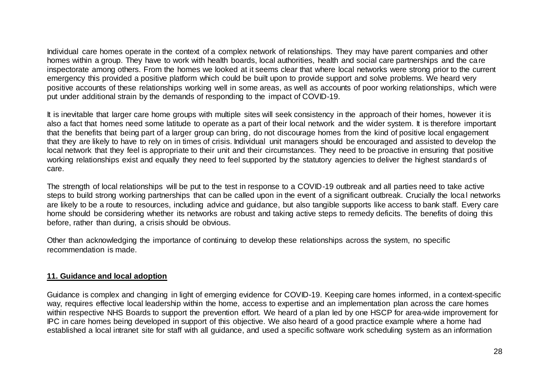Individual care homes operate in the context of a complex network of relationships. They may have parent companies and other homes within a group. They have to work with health boards, local authorities, health and social care partnerships and the care inspectorate among others. From the homes we looked at it seems clear that where local networks were strong prior to the current emergency this provided a positive platform which could be built upon to provide support and solve problems. We heard very positive accounts of these relationships working well in some areas, as well as accounts of poor working relationships, which were put under additional strain by the demands of responding to the impact of COVID-19.

It is inevitable that larger care home groups with multiple sites will seek consistency in the approach of their homes, however it is also a fact that homes need some latitude to operate as a part of their local network and the wider system. It is therefore important that the benefits that being part of a larger group can bring, do not discourage homes from the kind of positive local engagement that they are likely to have to rely on in times of crisis. Individual unit managers should be encouraged and assisted to develop the local network that they feel is appropriate to their unit and their circumstances. They need to be proactive in ensuring that positive working relationships exist and equally they need to feel supported by the statutory agencies to deliver the highest standard s of care.

The strength of local relationships will be put to the test in response to a COVID-19 outbreak and all parties need to take active steps to build strong working partnerships that can be called upon in the event of a significant outbreak. Crucially the local networks are likely to be a route to resources, including advice and guidance, but also tangible supports like access to bank staff. Every care home should be considering whether its networks are robust and taking active steps to remedy deficits. The benefits of doing this before, rather than during, a crisis should be obvious.

Other than acknowledging the importance of continuing to develop these relationships across the system, no specific recommendation is made.

# **11. Guidance and local adoption**

Guidance is complex and changing in light of emerging evidence for COVID-19. Keeping care homes informed, in a context-specific way, requires effective local leadership within the home, access to expertise and an implementation plan across the care homes within respective NHS Boards to support the prevention effort. We heard of a plan led by one HSCP for area-wide improvement for IPC in care homes being developed in support of this objective. We also heard of a good practice example where a home had established a local intranet site for staff with all guidance, and used a specific software work scheduling system as an information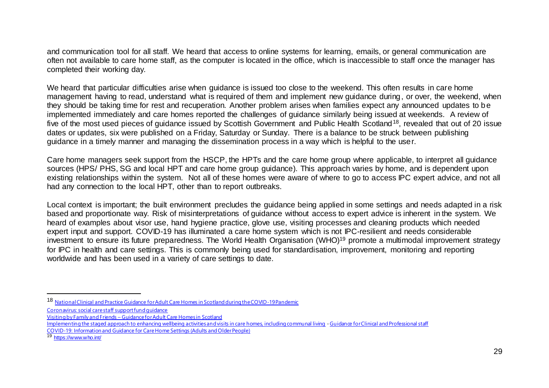and communication tool for all staff. We heard that access to online systems for learning, emails, or general communication are often not available to care home staff, as the computer is located in the office, which is inaccessible to staff once the manager has completed their working day.

We heard that particular difficulties arise when quidance is issued too close to the weekend. This often results in care home management having to read, understand what is required of them and implement new guidance during, or over, the weekend, when they should be taking time for rest and recuperation. Another problem arises when families expect any announced updates to be implemented immediately and care homes reported the challenges of guidance similarly being issued at weekends. A review of five of the most used pieces of quidance issued by Scottish Government and Public Health Scotland<sup>18</sup>, revealed that out of 20 issue dates or updates, six were published on a Friday, Saturday or Sunday. There is a balance to be struck between publishing guidance in a timely manner and managing the dissemination process in a way which is helpful to the user.

Care home managers seek support from the HSCP, the HPTs and the care home group where applicable, to interpret all guidance sources (HPS/ PHS, SG and local HPT and care home group guidance). This approach varies by home, and is dependent upon existing relationships within the system. Not all of these homes were aware of where to go to access IPC expert advice, and not all had any connection to the local HPT, other than to report outbreaks.

Local context is important; the built environment precludes the guidance being applied in some settings and needs adapted in a risk based and proportionate way. Risk of misinterpretations of guidance without access to expert advice is inherent in the system. We heard of examples about visor use, hand hygiene practice, glove use, visiting processes and cleaning products which needed expert input and support. COVID-19 has illuminated a care home system which is not IPC-resilient and needs considerable investment to ensure its future preparedness. The World Health Organisation (WHO)<sup>19</sup> promote a multimodal improvement strategy for IPC in health and care settings. This is commonly being used for standardisation, improvement, monitoring and reporting worldwide and has been used in a variety of care settings to date.

l

<sup>18</sup> [National Clinical and Practice Guidance for Adult Care Homes in Scotland during the COVID-19 Pandemic](https://www.gov.scot/binaries/content/documents/govscot/publications/advice-and-guidance/2020/03/coronavirus-covid-19-clinical-and-practice-guidance-for-adult-care-homes/documents/clinical-guidance-for-nursing-home-and-residential-care-residents/clinical-guidance-for-nursing-home-and-residential-care-residents/govscot%3Adocument/National%2BClinical%2BGuidance%2Bfor%2BCare%2BHomes%2BCOVID-19%2BPandemic-%2BMASTER%2BCOPY%2B-%2BFINAL%2B-%2B15%2BMay%2B2020.pdf)

[Coronavirus: social care staff support fund guidance](https://www.gov.scot/publications/coronavirus-covid-19-social-care-staff-support-fund-guidance/)

Visiting by Family and Friends – [Guidance for Adult Care Homes in Scotland](https://www.gov.scot/binaries/content/documents/govscot/publications/advice-and-guidance/2020/06/coronavirus-covid-19-adult-care-homes-visiting-guidance/documents/family-and-friends-visiting-guidance-for-care-homes-word-3-september-2020/family-and-friends-visiting-guidance-for-care-homes-word-3-september-2020/govscot%3Adocument/Care%2Bhomes%2B-%2BCovid%2B-%2BGuidance%2Bon%2Bfamily%2Band%2Bfriends%2Bvisiting%2BUpdated%2B12th%2BOct%2B2020.pdf)

[Implementing the staged approach to enhancing wellbeing activities and visits in care homes, including communal living](https://www.gov.scot/binaries/content/documents/govscot/publications/advice-and-guidance/2020/06/coronavirus-covid-19-adult-care-homes-visiting-guidance/documents/8-enhancing-wellbeing-visits-and-activities-including-communal-living---adult-care-homes-guidance-pdf-3-september-2020/8-enhancing-wellbeing-visits-and-activities-including-communal-living---adult-care-homes-guidance-pdf-3-september-2020/govscot%3Adocument/121020%2BEnhanced%2Bwellbeing%2BGuidance%2BV1.2.docx) [-Guidance for Clinical and Professional staff](https://www.gov.scot/binaries/content/documents/govscot/publications/advice-and-guidance/2020/06/coronavirus-covid-19-adult-care-homes-visiting-guidance/documents/8-enhancing-wellbeing-visits-and-activities-including-communal-living---adult-care-homes-guidance-pdf-3-september-2020/8-enhancing-wellbeing-visits-and-activities-including-communal-living---adult-care-homes-guidance-pdf-3-september-2020/govscot%3Adocument/121020%2BEnhanced%2Bwellbeing%2BGuidance%2BV1.2.docx)

[COVID-19: Information and Guidance for Care Home Settings \(Adults and Older People\)](https://hpspubsrepo.blob.core.windows.net/hps-website/nss/2980/documents/1_covid-19-information-and-guidance-for-care-homes.pdf)

<sup>19</sup> <https://www.who.int/>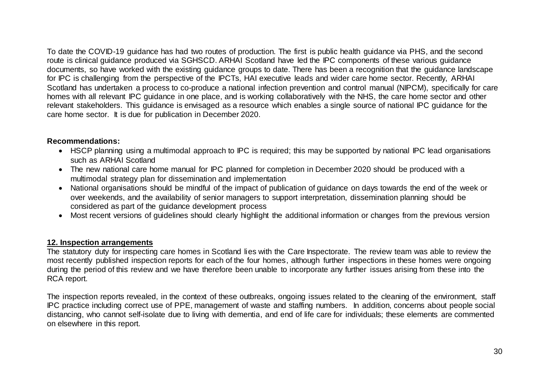To date the COVID-19 guidance has had two routes of production. The first is public health guidance via PHS, and the second route is clinical guidance produced via SGHSCD. ARHAI Scotland have led the IPC components of these various guidance documents, so have worked with the existing guidance groups to date. There has been a recognition that the guidance landscape for IPC is challenging from the perspective of the IPCTs, HAI executive leads and wider care home sector. Recently, ARHAI Scotland has undertaken a process to co-produce a national infection prevention and control manual (NIPCM), specifically for care homes with all relevant IPC guidance in one place, and is working collaboratively with the NHS, the care home sector and other relevant stakeholders. This guidance is envisaged as a resource which enables a single source of national IPC guidance for the care home sector. It is due for publication in December 2020.

# **Recommendations:**

- HSCP planning using a multimodal approach to IPC is required; this may be supported by national IPC lead organisations such as ARHAI Scotland
- The new national care home manual for IPC planned for completion in December 2020 should be produced with a multimodal strategy plan for dissemination and implementation
- National organisations should be mindful of the impact of publication of guidance on days towards the end of the week or over weekends, and the availability of senior managers to support interpretation, dissemination planning should be considered as part of the guidance development process
- Most recent versions of guidelines should clearly highlight the additional information or changes from the previous version

# **12. Inspection arrangements**

The statutory duty for inspecting care homes in Scotland lies with the Care Inspectorate. The review team was able to review the most recently published inspection reports for each of the four homes, although further inspections in these homes were ongoing during the period of this review and we have therefore been unable to incorporate any further issues arising from these into the RCA report.

The inspection reports revealed, in the context of these outbreaks, ongoing issues related to the cleaning of the environment, staff IPC practice including correct use of PPE, management of waste and staffing numbers. In addition, concerns about people social distancing, who cannot self-isolate due to living with dementia, and end of life care for individuals; these elements are commented on elsewhere in this report.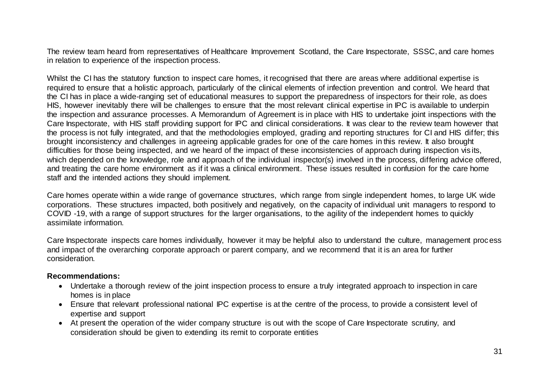The review team heard from representatives of Healthcare Improvement Scotland, the Care Inspectorate, SSSC, and care homes in relation to experience of the inspection process.

Whilst the CI has the statutory function to inspect care homes, it recognised that there are areas where additional expertise is required to ensure that a holistic approach, particularly of the clinical elements of infection prevention and control. We heard that the CI has in place a wide-ranging set of educational measures to support the preparedness of inspectors for their role, as does HIS, however inevitably there will be challenges to ensure that the most relevant clinical expertise in IPC is available to underpin the inspection and assurance processes. A Memorandum of Agreement is in place with HIS to undertake joint inspections with the Care Inspectorate, with HIS staff providing support for IPC and clinical considerations. It was clear to the review team however that the process is not fully integrated, and that the methodologies employed, grading and reporting structures for CI and HIS differ; this brought inconsistency and challenges in agreeing applicable grades for one of the care homes in this review. It also brought difficulties for those being inspected, and we heard of the impact of these inconsistencies of approach during inspection vis its, which depended on the knowledge, role and approach of the individual inspector(s) involved in the process, differing advice offered, and treating the care home environment as if it was a clinical environment. These issues resulted in confusion for the care home staff and the intended actions they should implement.

Care homes operate within a wide range of governance structures, which range from single independent homes, to large UK wide corporations. These structures impacted, both positively and negatively, on the capacity of individual unit managers to respond to COVID -19, with a range of support structures for the larger organisations, to the agility of the independent homes to quickly assimilate information.

Care Inspectorate inspects care homes individually, however it may be helpful also to understand the culture, management process and impact of the overarching corporate approach or parent company, and we recommend that it is an area for further consideration.

#### **Recommendations:**

- Undertake a thorough review of the joint inspection process to ensure a truly integrated approach to inspection in care homes is in place
- Ensure that relevant professional national IPC expertise is at the centre of the process, to provide a consistent level of expertise and support
- At present the operation of the wider company structure is out with the scope of Care Inspectorate scrutiny, and consideration should be given to extending its remit to corporate entities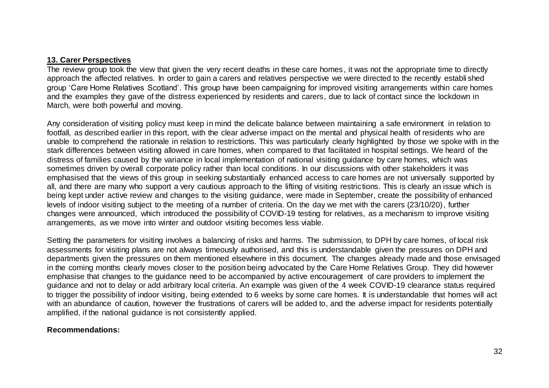#### **13. Carer Perspectives**

The review group took the view that given the very recent deaths in these care homes, it was not the appropriate time to directly approach the affected relatives. In order to gain a carers and relatives perspective we were directed to the recently establi shed group 'Care Home Relatives Scotland'. This group have been campaigning for improved visiting arrangements within care homes and the examples they gave of the distress experienced by residents and carers, due to lack of contact since the lockdown in March, were both powerful and moving.

Any consideration of visiting policy must keep in mind the delicate balance between maintaining a safe environment in relation to footfall, as described earlier in this report, with the clear adverse impact on the mental and physical health of residents who are unable to comprehend the rationale in relation to restrictions. This was particularly clearly highlighted by those we spoke with in the stark differences between visiting allowed in care homes, when compared to that facilitated in hospital settings. We heard of the distress of families caused by the variance in local implementation of national visiting guidance by care homes, which was sometimes driven by overall corporate policy rather than local conditions. In our discussions with other stakeholders it was emphasised that the views of this group in seeking substantially enhanced access to care homes are not universally supported by all, and there are many who support a very cautious approach to the lifting of visiting restrictions. This is clearly an issue which is being kept under active review and changes to the visiting guidance, were made in September, create the possibility of enhanced levels of indoor visiting subject to the meeting of a number of criteria. On the day we met with the carers (23/10/20), further changes were announced, which introduced the possibility of COVID-19 testing for relatives, as a mechanism to improve visiting arrangements, as we move into winter and outdoor visiting becomes less viable.

Setting the parameters for visiting involves a balancing of risks and harms. The submission, to DPH by care homes, of local risk assessments for visiting plans are not always timeously authorised, and this is understandable given the pressures on DPH and departments given the pressures on them mentioned elsewhere in this document. The changes already made and those envisaged in the coming months clearly moves closer to the position being advocated by the Care Home Relatives Group. They did however emphasise that changes to the guidance need to be accompanied by active encouragement of care providers to implement the guidance and not to delay or add arbitrary local criteria. An example was given of the 4 week COVID-19 clearance status required to trigger the possibility of indoor visiting, being extended to 6 weeks by some care homes. It is understandable that homes will act with an abundance of caution, however the frustrations of carers will be added to, and the adverse impact for residents potentially amplified, if the national guidance is not consistently applied.

# **Recommendations:**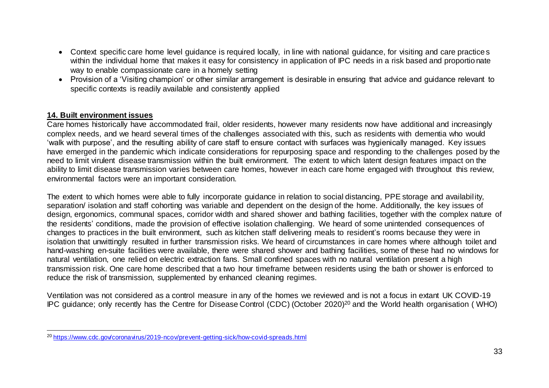- Context specific care home level quidance is required locally, in line with national quidance, for visiting and care practices within the individual home that makes it easy for consistency in application of IPC needs in a risk based and proportionate way to enable compassionate care in a homely setting
- Provision of a 'Visiting champion' or other similar arrangement is desirable in ensuring that advice and guidance relevant to specific contexts is readily available and consistently applied

# **14. Built environment issues**

Care homes historically have accommodated frail, older residents, however many residents now have additional and increasingly complex needs, and we heard several times of the challenges associated with this, such as residents with dementia who would 'walk with purpose', and the resulting ability of care staff to ensure contact with surfaces was hygienically managed. Key issues have emerged in the pandemic which indicate considerations for repurposing space and responding to the challenges posed by the need to limit virulent disease transmission within the built environment. The extent to which latent design features impact on the ability to limit disease transmission varies between care homes, however in each care home engaged with throughout this review, environmental factors were an important consideration.

The extent to which homes were able to fully incorporate guidance in relation to social distancing, PPE storage and availability, separation/ isolation and staff cohorting was variable and dependent on the design of the home. Additionally, the key issues of design, ergonomics, communal spaces, corridor width and shared shower and bathing facilities, together with the complex nature of the residents' conditions, made the provision of effective isolation challenging. We heard of some unintended consequences of changes to practices in the built environment, such as kitchen staff delivering meals to resident's rooms because they were in isolation that unwittingly resulted in further transmission risks. We heard of circumstances in care homes where although toilet and hand-washing en-suite facilities were available, there were shared shower and bathing facilities, some of these had no windows for natural ventilation, one relied on electric extraction fans. Small confined spaces with no natural ventilation present a high transmission risk. One care home described that a two hour timeframe between residents using the bath or shower is enforced to reduce the risk of transmission, supplemented by enhanced cleaning regimes.

Ventilation was not considered as a control measure in any of the homes we reviewed and is not a focus in extant UK COVID-19 IPC guidance; only recently has the Centre for Disease Control (CDC) (October 2020)<sup>20</sup> and the World health organisation ( WHO)

l <sup>20</sup> <https://www.cdc.gov/coronavirus/2019-ncov/prevent-getting-sick/how-covid-spreads.html>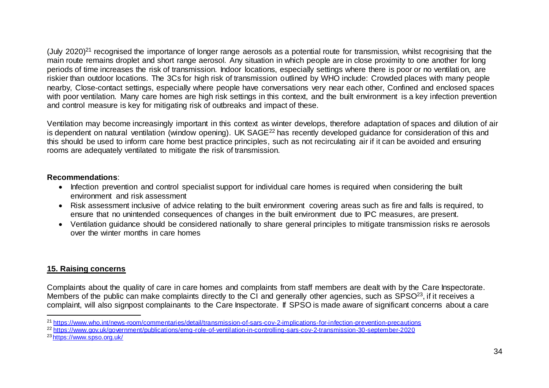(July 2020)<sup>21</sup> recognised the importance of longer range aerosols as a potential route for transmission, whilst recognising that the main route remains droplet and short range aerosol. Any situation in which people are in close proximity to one another for long periods of time increases the risk of transmission. Indoor locations, especially settings where there is poor or no ventilati on, are riskier than outdoor locations. The 3Cs for high risk of transmission outlined by WHO include: Crowded places with many people nearby, Close-contact settings, especially where people have conversations very near each other, Confined and enclosed spaces with poor ventilation. Many care homes are high risk settings in this context, and the built environment is a key infection prevention and control measure is key for mitigating risk of outbreaks and impact of these.

Ventilation may become increasingly important in this context as winter develops, therefore adaptation of spaces and dilution of air is dependent on natural ventilation (window opening). UK SAGE<sup>22</sup> has recently developed quidance for consideration of this and this should be used to inform care home best practice principles, such as not recirculating air if it can be avoided and ensuring rooms are adequately ventilated to mitigate the risk of transmission.

# **Recommendations**:

- Infection prevention and control specialist support for individual care homes is required when considering the built environment and risk assessment
- Risk assessment inclusive of advice relating to the built environment covering areas such as fire and falls is required, to ensure that no unintended consequences of changes in the built environment due to IPC measures, are present.
- Ventilation guidance should be considered nationally to share general principles to mitigate transmission risks re aerosols over the winter months in care homes

# **15. Raising concerns**

Complaints about the quality of care in care homes and complaints from staff members are dealt with by the Care Inspectorate. Members of the public can make complaints directly to the CI and generally other agencies, such as SPSO<sup>23</sup>, if it receives a complaint, will also signpost complainants to the Care Inspectorate. If SPSO is made aware of significant concerns about a care

23 <https://www.spso.org.uk/>

l <sup>21</sup> <https://www.who.int/news-room/commentaries/detail/transmission-of-sars-cov-2-implications-for-infection-prevention-precautions>

<sup>22</sup> <https://www.gov.uk/government/publications/emg-role-of-ventilation-in-controlling-sars-cov-2-transmission-30-september-2020>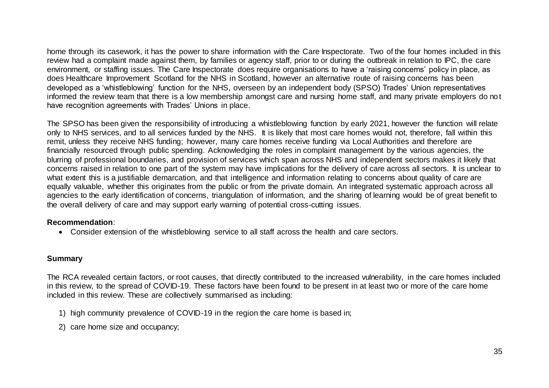home through its casework, it has the power to share information with the Care Inspectorate. Two of the four homes included in this review had a complaint made against them, by families or agency staff, prior to or during the outbreak in relation to IPC, the care environment, or staffing issues. The Care Inspectorate does require organisations to have a 'raising concerns' policy in place, as does Healthcare Improvement Scotland for the NHS in Scotland, however an alternative route of raising concerns has been developed as a 'whistleblowing' function for the NHS, overseen by an independent body (SPSO) Trades' Union representatives informed the review team that there is a low membership amongst care and nursing home staff, and many private employers do no t have recognition agreements with Trades' Unions in place.

The SPSO has been given the responsibility of introducing a whistleblowing function by early 2021, however the function will relate only to NHS services, and to all services funded by the NHS. It is likely that most care homes would not, therefore, fall within this remit, unless they receive NHS funding; however, many care homes receive funding via Local Authorities and therefore are financially resourced through public spending. Acknowledging the roles in complaint management by the various agencies, the blurring of professional boundaries, and provision of services which span across NHS and independent sectors makes it likely that concerns raised in relation to one part of the system may have implications for the delivery of care across all sectors. It is unclear to what extent this is a justifiable demarcation, and that intelligence and information relating to concerns about quality of care are equally valuable, whether this originates from the public or from the private domain. An integrated systematic approach across all agencies to the early identification of concerns, triangulation of information, and the sharing of learning would be of great benefit to the overall delivery of care and may support early warning of potential cross-cutting issues.

# **Recommendation**:

Consider extension of the whistleblowing service to all staff across the health and care sectors.

# **Summary**

The RCA revealed certain factors, or root causes, that directly contributed to the increased vulnerability, in the care homes included in this review, to the spread of COVID-19. These factors have been found to be present in at least two or more of the care home included in this review. These are collectively summarised as including:

- 1) high community prevalence of COVID-19 in the region the care home is based in;
- 2) care home size and occupancy;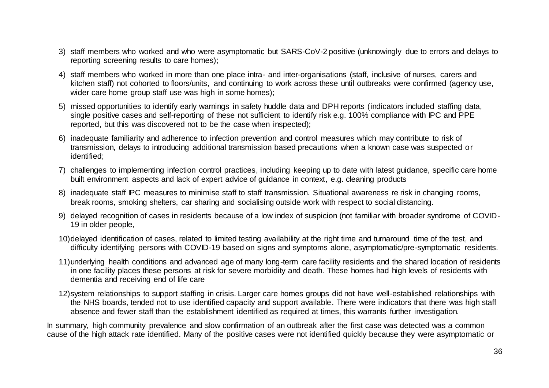- 3) staff members who worked and who were asymptomatic but SARS-CoV-2 positive (unknowingly due to errors and delays to reporting screening results to care homes);
- 4) staff members who worked in more than one place intra- and inter-organisations (staff, inclusive of nurses, carers and kitchen staff) not cohorted to floors/units, and continuing to work across these until outbreaks were confirmed (agency use, wider care home group staff use was high in some homes);
- 5) missed opportunities to identify early warnings in safety huddle data and DPH reports (indicators included staffing data, single positive cases and self-reporting of these not sufficient to identify risk e.g. 100% compliance with IPC and PPE reported, but this was discovered not to be the case when inspected);
- 6) inadequate familiarity and adherence to infection prevention and control measures which may contribute to risk of transmission, delays to introducing additional transmission based precautions when a known case was suspected or identified;
- 7) challenges to implementing infection control practices, including keeping up to date with latest guidance, specific care home built environment aspects and lack of expert advice of guidance in context, e.g. cleaning products
- 8) inadequate staff IPC measures to minimise staff to staff transmission. Situational awareness re risk in changing rooms, break rooms, smoking shelters, car sharing and socialising outside work with respect to social distancing.
- 9) delayed recognition of cases in residents because of a low index of suspicion (not familiar with broader syndrome of COVID-19 in older people,
- 10)delayed identification of cases, related to limited testing availability at the right time and turnaround time of the test, and difficulty identifying persons with COVID-19 based on signs and symptoms alone, asymptomatic/pre-symptomatic residents.
- 11)underlying health conditions and advanced age of many long-term care facility residents and the shared location of residents in one facility places these persons at risk for severe morbidity and death. These homes had high levels of residents with dementia and receiving end of life care
- 12)system relationships to support staffing in crisis. Larger care homes groups did not have well-established relationships with the NHS boards, tended not to use identified capacity and support available. There were indicators that there was high staff absence and fewer staff than the establishment identified as required at times, this warrants further investigation.

In summary, high community prevalence and slow confirmation of an outbreak after the first case was detected was a common cause of the high attack rate identified. Many of the positive cases were not identified quickly because they were asymptomatic or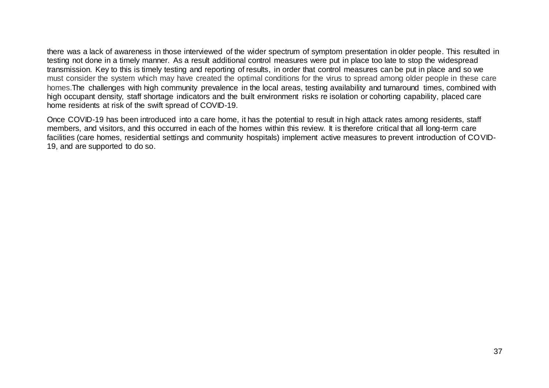there was a lack of awareness in those interviewed of the wider spectrum of symptom presentation in older people. This resulted in testing not done in a timely manner. As a result additional control measures were put in place too late to stop the widespread transmission. Key to this is timely testing and reporting of results, in order that control measures can be put in place and so we must consider the system which may have created the optimal conditions for the virus to spread among older people in these care homes.The challenges with high community prevalence in the local areas, testing availability and turnaround times, combined with high occupant density, staff shortage indicators and the built environment risks re isolation or cohorting capability, placed care home residents at risk of the swift spread of COVID-19.

Once COVID-19 has been introduced into a care home, it has the potential to result in high attack rates among residents, staff members, and visitors, and this occurred in each of the homes within this review. It is therefore critical that all long-term care facilities (care homes, residential settings and community hospitals) implement active measures to prevent introduction of COVID-19, and are supported to do so.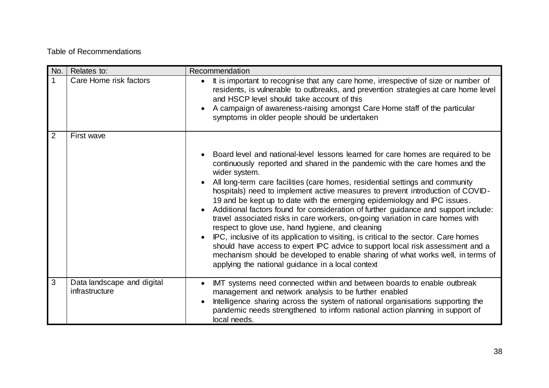# Table of Recommendations

| No.         | Relates to:                                  | Recommendation                                                                                                                                                                                                                                                                                                                                                                                                                                                           |
|-------------|----------------------------------------------|--------------------------------------------------------------------------------------------------------------------------------------------------------------------------------------------------------------------------------------------------------------------------------------------------------------------------------------------------------------------------------------------------------------------------------------------------------------------------|
| $\mathbf 1$ | Care Home risk factors                       | It is important to recognise that any care home, irrespective of size or number of<br>residents, is vulnerable to outbreaks, and prevention strategies at care home level<br>and HSCP level should take account of this<br>A campaign of awareness-raising amongst Care Home staff of the particular<br>symptoms in older people should be undertaken                                                                                                                    |
| 2           | First wave                                   | Board level and national-level lessons learned for care homes are required to be                                                                                                                                                                                                                                                                                                                                                                                         |
|             |                                              | continuously reported and shared in the pandemic with the care homes and the<br>wider system.                                                                                                                                                                                                                                                                                                                                                                            |
|             |                                              | All long-term care facilities (care homes, residential settings and community<br>hospitals) need to implement active measures to prevent introduction of COVID-<br>19 and be kept up to date with the emerging epidemiology and IPC issues.<br>Additional factors found for consideration of further guidance and support include:<br>travel associated risks in care workers, on-going variation in care homes with<br>respect to glove use, hand hygiene, and cleaning |
|             |                                              | IPC, inclusive of its application to visiting, is critical to the sector. Care homes<br>should have access to expert IPC advice to support local risk assessment and a<br>mechanism should be developed to enable sharing of what works well, in terms of<br>applying the national guidance in a local context                                                                                                                                                           |
| 3           | Data landscape and digital<br>infrastructure | IMT systems need connected within and between boards to enable outbreak<br>management and network analysis to be further enabled<br>Intelligence sharing across the system of national organisations supporting the<br>pandemic needs strengthened to inform national action planning in support of<br>local needs.                                                                                                                                                      |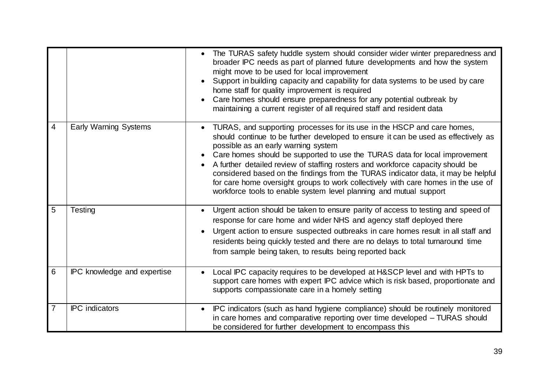|                          |                              | The TURAS safety huddle system should consider wider winter preparedness and<br>broader IPC needs as part of planned future developments and how the system<br>might move to be used for local improvement<br>Support in building capacity and capability for data systems to be used by care<br>home staff for quality improvement is required<br>Care homes should ensure preparedness for any potential outbreak by<br>maintaining a current register of all required staff and resident data                                                                                                                                  |
|--------------------------|------------------------------|-----------------------------------------------------------------------------------------------------------------------------------------------------------------------------------------------------------------------------------------------------------------------------------------------------------------------------------------------------------------------------------------------------------------------------------------------------------------------------------------------------------------------------------------------------------------------------------------------------------------------------------|
| $\overline{\mathcal{A}}$ | <b>Early Warning Systems</b> | TURAS, and supporting processes for its use in the HSCP and care homes,<br>should continue to be further developed to ensure it can be used as effectively as<br>possible as an early warning system<br>Care homes should be supported to use the TURAS data for local improvement<br>$\bullet$<br>A further detailed review of staffing rosters and workforce capacity should be<br>considered based on the findings from the TURAS indicator data, it may be helpful<br>for care home oversight groups to work collectively with care homes in the use of<br>workforce tools to enable system level planning and mutual support |
| 5                        | Testing                      | Urgent action should be taken to ensure parity of access to testing and speed of<br>$\bullet$<br>response for care home and wider NHS and agency staff deployed there<br>Urgent action to ensure suspected outbreaks in care homes result in all staff and<br>$\bullet$<br>residents being quickly tested and there are no delays to total turnaround time<br>from sample being taken, to results being reported back                                                                                                                                                                                                             |
| 6                        | IPC knowledge and expertise  | Local IPC capacity requires to be developed at H&SCP level and with HPTs to<br>support care homes with expert IPC advice which is risk based, proportionate and<br>supports compassionate care in a homely setting                                                                                                                                                                                                                                                                                                                                                                                                                |
| $\overline{7}$           | <b>IPC</b> indicators        | IPC indicators (such as hand hygiene compliance) should be routinely monitored<br>$\bullet$<br>in care homes and comparative reporting over time developed - TURAS should<br>be considered for further development to encompass this                                                                                                                                                                                                                                                                                                                                                                                              |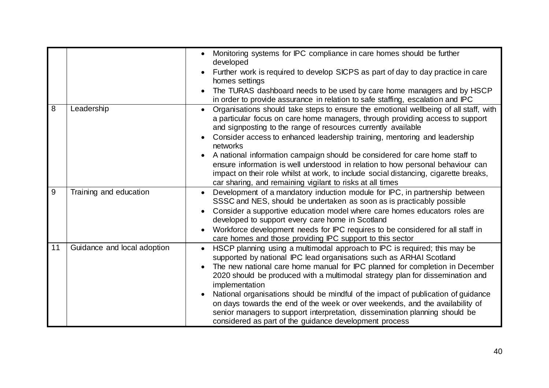|                |                             | Monitoring systems for IPC compliance in care homes should be further<br>$\bullet$<br>developed<br>Further work is required to develop SICPS as part of day to day practice in care<br>homes settings<br>The TURAS dashboard needs to be used by care home managers and by HSCP<br>in order to provide assurance in relation to safe staffing, escalation and IPC                                                                                                                                                                                                                                                                                                                |
|----------------|-----------------------------|----------------------------------------------------------------------------------------------------------------------------------------------------------------------------------------------------------------------------------------------------------------------------------------------------------------------------------------------------------------------------------------------------------------------------------------------------------------------------------------------------------------------------------------------------------------------------------------------------------------------------------------------------------------------------------|
| $\overline{8}$ | Leadership                  | Organisations should take steps to ensure the emotional wellbeing of all staff, with<br>$\bullet$<br>a particular focus on care home managers, through providing access to support<br>and signposting to the range of resources currently available<br>Consider access to enhanced leadership training, mentoring and leadership<br>$\bullet$<br>networks<br>A national information campaign should be considered for care home staff to<br>ensure information is well understood in relation to how personal behaviour can<br>impact on their role whilst at work, to include social distancing, cigarette breaks,<br>car sharing, and remaining vigilant to risks at all times |
| 9              | Training and education      | Development of a mandatory induction module for IPC, in partnership between<br>SSSC and NES, should be undertaken as soon as is practicably possible<br>Consider a supportive education model where care homes educators roles are<br>developed to support every care home in Scotland<br>Workforce development needs for IPC requires to be considered for all staff in<br>$\bullet$<br>care homes and those providing IPC support to this sector                                                                                                                                                                                                                               |
| 11             | Guidance and local adoption | HSCP planning using a multimodal approach to IPC is required; this may be<br>$\bullet$<br>supported by national IPC lead organisations such as ARHAI Scotland<br>The new national care home manual for IPC planned for completion in December<br>$\bullet$<br>2020 should be produced with a multimodal strategy plan for dissemination and<br>implementation<br>National organisations should be mindful of the impact of publication of guidance<br>on days towards the end of the week or over weekends, and the availability of<br>senior managers to support interpretation, dissemination planning should be<br>considered as part of the guidance development process     |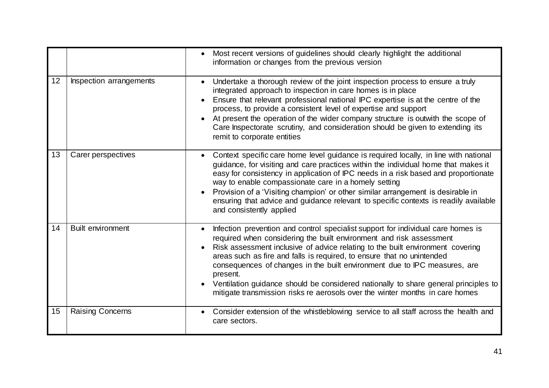|    |                          | Most recent versions of guidelines should clearly highlight the additional<br>$\bullet$<br>information or changes from the previous version                                                                                                                                                                                                                                                                                                                                                                                                                                                      |
|----|--------------------------|--------------------------------------------------------------------------------------------------------------------------------------------------------------------------------------------------------------------------------------------------------------------------------------------------------------------------------------------------------------------------------------------------------------------------------------------------------------------------------------------------------------------------------------------------------------------------------------------------|
| 12 | Inspection arrangements  | Undertake a thorough review of the joint inspection process to ensure a truly<br>integrated approach to inspection in care homes is in place<br>Ensure that relevant professional national IPC expertise is at the centre of the<br>process, to provide a consistent level of expertise and support<br>At present the operation of the wider company structure is outwith the scope of<br>Care Inspectorate scrutiny, and consideration should be given to extending its<br>remit to corporate entities                                                                                          |
| 13 | Carer perspectives       | Context specific care home level guidance is required locally, in line with national<br>$\bullet$<br>guidance, for visiting and care practices within the individual home that makes it<br>easy for consistency in application of IPC needs in a risk based and proportionate<br>way to enable compassionate care in a homely setting<br>Provision of a 'Visiting champion' or other similar arrangement is desirable in<br>$\bullet$<br>ensuring that advice and guidance relevant to specific contexts is readily available<br>and consistently applied                                        |
| 14 | <b>Built environment</b> | Infection prevention and control specialist support for individual care homes is<br>required when considering the built environment and risk assessment<br>Risk assessment inclusive of advice relating to the built environment covering<br>areas such as fire and falls is required, to ensure that no unintended<br>consequences of changes in the built environment due to IPC measures, are<br>present.<br>Ventilation guidance should be considered nationally to share general principles to<br>$\bullet$<br>mitigate transmission risks re aerosols over the winter months in care homes |
| 15 | <b>Raising Concerns</b>  | Consider extension of the whistleblowing service to all staff across the health and<br>$\bullet$<br>care sectors.                                                                                                                                                                                                                                                                                                                                                                                                                                                                                |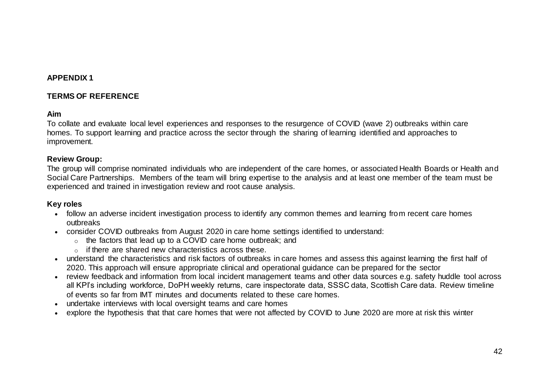# **APPENDIX 1**

# **TERMS OF REFERENCE**

#### **Aim**

To collate and evaluate local level experiences and responses to the resurgence of COVID (wave 2) outbreaks within care homes. To support learning and practice across the sector through the sharing of learning identified and approaches to improvement.

#### **Review Group:**

The group will comprise nominated individuals who are independent of the care homes, or associated Health Boards or Health and Social Care Partnerships. Members of the team will bring expertise to the analysis and at least one member of the team must be experienced and trained in investigation review and root cause analysis.

# **Key roles**

- follow an adverse incident investigation process to identify any common themes and learning from recent care homes outbreaks
- consider COVID outbreaks from August 2020 in care home settings identified to understand:
	- o the factors that lead up to a COVID care home outbreak; and
	- o if there are shared new characteristics across these.
- understand the characteristics and risk factors of outbreaks in care homes and assess this against learning the first half of 2020. This approach will ensure appropriate clinical and operational guidance can be prepared for the sector
- review feedback and information from local incident management teams and other data sources e.g. safety huddle tool across all KPI's including workforce, DoPH weekly returns, care inspectorate data, SSSC data, Scottish Care data. Review timeline of events so far from IMT minutes and documents related to these care homes.
- undertake interviews with local oversight teams and care homes
- explore the hypothesis that that care homes that were not affected by COVID to June 2020 are more at risk this winter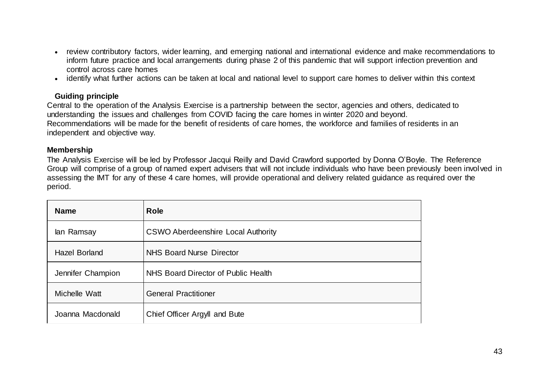- review contributory factors, wider learning, and emerging national and international evidence and make recommendations to inform future practice and local arrangements during phase 2 of this pandemic that will support infection prevention and control across care homes
- identify what further actions can be taken at local and national level to support care homes to deliver within this context

# **Guiding principle**

Central to the operation of the Analysis Exercise is a partnership between the sector, agencies and others, dedicated to understanding the issues and challenges from COVID facing the care homes in winter 2020 and beyond. Recommendations will be made for the benefit of residents of care homes, the workforce and families of residents in an independent and objective way.

#### **Membership**

The Analysis Exercise will be led by Professor Jacqui Reilly and David Crawford supported by Donna O'Boyle. The Reference Group will comprise of a group of named expert advisers that will not include individuals who have been previously been involved in assessing the IMT for any of these 4 care homes, will provide operational and delivery related guidance as required over the period.

| <b>Name</b>          | <b>Role</b>                               |
|----------------------|-------------------------------------------|
| lan Ramsay           | <b>CSWO Aberdeenshire Local Authority</b> |
| <b>Hazel Borland</b> | <b>NHS Board Nurse Director</b>           |
| Jennifer Champion    | NHS Board Director of Public Health       |
| Michelle Watt        | <b>General Practitioner</b>               |
| Joanna Macdonald     | Chief Officer Argyll and Bute             |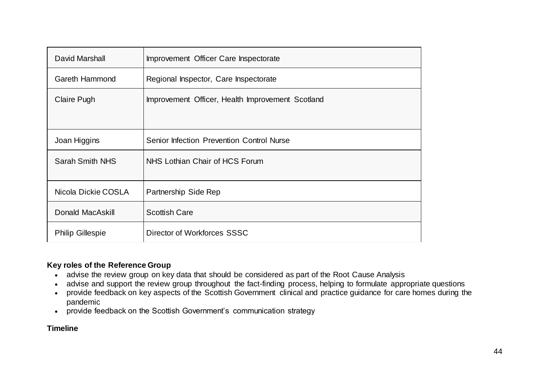| David Marshall          | Improvement Officer Care Inspectorate            |
|-------------------------|--------------------------------------------------|
| Gareth Hammond          | Regional Inspector, Care Inspectorate            |
| Claire Pugh             | Improvement Officer, Health Improvement Scotland |
| Joan Higgins            | Senior Infection Prevention Control Nurse        |
| <b>Sarah Smith NHS</b>  | NHS Lothian Chair of HCS Forum                   |
| Nicola Dickie COSLA     | Partnership Side Rep                             |
| Donald MacAskill        | <b>Scottish Care</b>                             |
| <b>Philip Gillespie</b> | Director of Workforces SSSC                      |

# **Key roles of the Reference Group**

- advise the review group on key data that should be considered as part of the Root Cause Analysis
- advise and support the review group throughout the fact-finding process, helping to formulate appropriate questions
- provide feedback on key aspects of the Scottish Government clinical and practice guidance for care homes during the pandemic
- provide feedback on the Scottish Government's communication strategy

# **Timeline**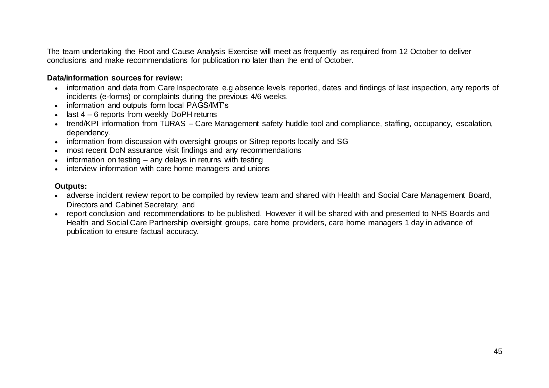The team undertaking the Root and Cause Analysis Exercise will meet as frequently as required from 12 October to deliver conclusions and make recommendations for publication no later than the end of October.

# **Data/information sources for review:**

- information and data from Care Inspectorate e.g absence levels reported, dates and findings of last inspection, any reports of incidents (e-forms) or complaints during the previous 4/6 weeks.
- information and outputs form local PAGS/IMT's
- $\cdot$  last 4 6 reports from weekly DoPH returns
- trend/KPI information from TURAS Care Management safety huddle tool and compliance, staffing, occupancy, escalation, dependency.
- information from discussion with oversight groups or Sitrep reports locally and SG
- most recent DoN assurance visit findings and any recommendations
- $\bullet$  information on testing any delays in returns with testing
- interview information with care home managers and unions

#### **Outputs:**

- adverse incident review report to be compiled by review team and shared with Health and Social Care Management Board, Directors and Cabinet Secretary; and
- report conclusion and recommendations to be published. However it will be shared with and presented to NHS Boards and Health and Social Care Partnership oversight groups, care home providers, care home managers 1 day in advance of publication to ensure factual accuracy.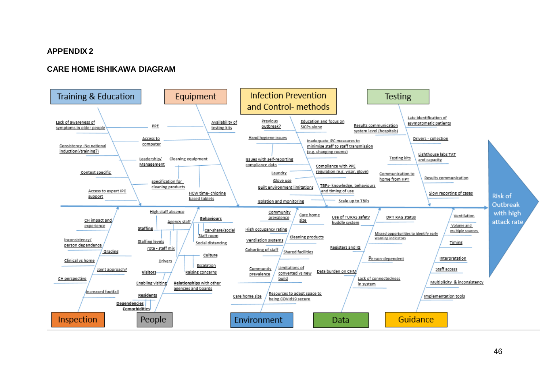#### **APPENDIX 2**

#### **CARE HOME ISHIKAWA DIAGRAM**

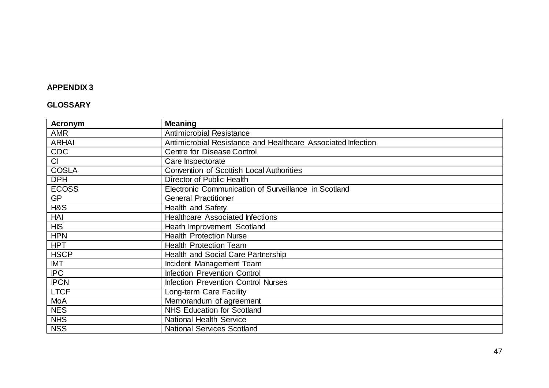# **APPENDIX 3**

# **GLOSSARY**

| Acronym      | <b>Meaning</b>                                               |
|--------------|--------------------------------------------------------------|
| <b>AMR</b>   | <b>Antimicrobial Resistance</b>                              |
| <b>ARHAI</b> | Antimicrobial Resistance and Healthcare Associated Infection |
| <b>CDC</b>   | <b>Centre for Disease Control</b>                            |
| CI           | Care Inspectorate                                            |
| <b>COSLA</b> | <b>Convention of Scottish Local Authorities</b>              |
| <b>DPH</b>   | Director of Public Health                                    |
| <b>ECOSS</b> | Electronic Communication of Surveillance in Scotland         |
| <b>GP</b>    | <b>General Practitioner</b>                                  |
| H&S          | Health and Safety                                            |
| HAI          | <b>Healthcare Associated Infections</b>                      |
| <b>HIS</b>   | Heath Improvement Scotland                                   |
| <b>HPN</b>   | <b>Health Protection Nurse</b>                               |
| <b>HPT</b>   | <b>Health Protection Team</b>                                |
| <b>HSCP</b>  | Health and Social Care Partnership                           |
| IMT          | Incident Management Team                                     |
| <b>IPC</b>   | Infection Prevention Control                                 |
| <b>IPCN</b>  | <b>Infection Prevention Control Nurses</b>                   |
| <b>LTCF</b>  | Long-term Care Facility                                      |
| MoA          | Memorandum of agreement                                      |
| <b>NES</b>   | <b>NHS Education for Scotland</b>                            |
| <b>NHS</b>   | <b>National Health Service</b>                               |
| <b>NSS</b>   | <b>National Services Scotland</b>                            |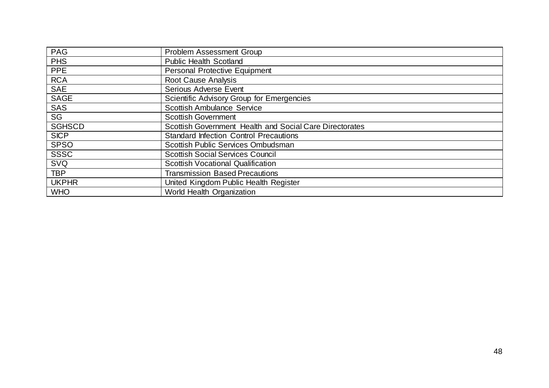| <b>PAG</b>    | <b>Problem Assessment Group</b>                         |
|---------------|---------------------------------------------------------|
| <b>PHS</b>    | <b>Public Health Scotland</b>                           |
| <b>PPE</b>    | <b>Personal Protective Equipment</b>                    |
| <b>RCA</b>    | <b>Root Cause Analysis</b>                              |
| <b>SAE</b>    | <b>Serious Adverse Event</b>                            |
| <b>SAGE</b>   | <b>Scientific Advisory Group for Emergencies</b>        |
| <b>SAS</b>    | <b>Scottish Ambulance Service</b>                       |
| SG            | <b>Scottish Government</b>                              |
| <b>SGHSCD</b> | Scottish Government Health and Social Care Directorates |
| <b>SICP</b>   | <b>Standard Infection Control Precautions</b>           |
| <b>SPSO</b>   | Scottish Public Services Ombudsman                      |
| <b>SSSC</b>   | <b>Scottish Social Services Council</b>                 |
| <b>SVQ</b>    | <b>Scottish Vocational Qualification</b>                |
| <b>TBP</b>    | <b>Transmission Based Precautions</b>                   |
| <b>UKPHR</b>  | United Kingdom Public Health Register                   |
| <b>WHO</b>    | World Health Organization                               |